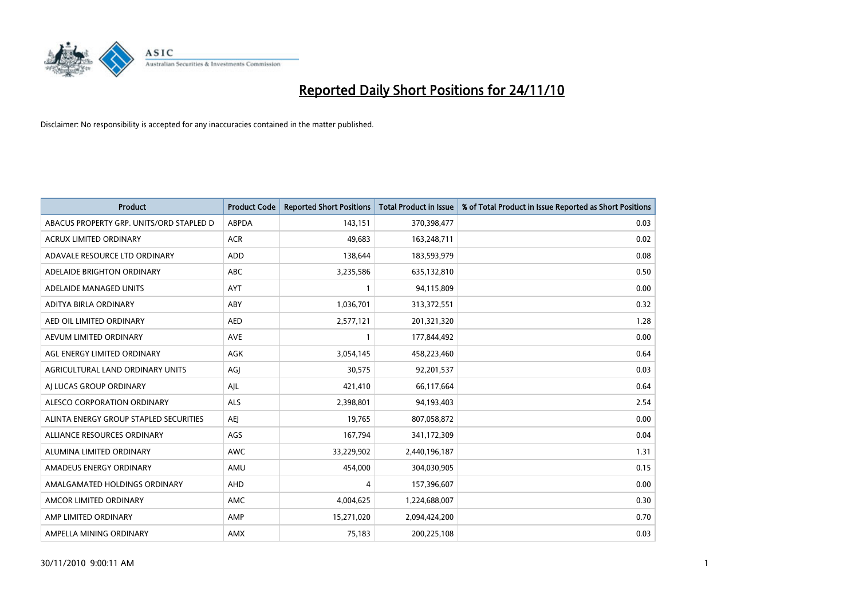

| Product                                  | <b>Product Code</b> | <b>Reported Short Positions</b> | <b>Total Product in Issue</b> | % of Total Product in Issue Reported as Short Positions |
|------------------------------------------|---------------------|---------------------------------|-------------------------------|---------------------------------------------------------|
| ABACUS PROPERTY GRP. UNITS/ORD STAPLED D | <b>ABPDA</b>        | 143,151                         | 370,398,477                   | 0.03                                                    |
| ACRUX LIMITED ORDINARY                   | <b>ACR</b>          | 49,683                          | 163,248,711                   | 0.02                                                    |
| ADAVALE RESOURCE LTD ORDINARY            | <b>ADD</b>          | 138,644                         | 183,593,979                   | 0.08                                                    |
| ADELAIDE BRIGHTON ORDINARY               | <b>ABC</b>          | 3,235,586                       | 635,132,810                   | 0.50                                                    |
| ADELAIDE MANAGED UNITS                   | <b>AYT</b>          |                                 | 94,115,809                    | 0.00                                                    |
| ADITYA BIRLA ORDINARY                    | ABY                 | 1,036,701                       | 313,372,551                   | 0.32                                                    |
| AED OIL LIMITED ORDINARY                 | <b>AED</b>          | 2,577,121                       | 201,321,320                   | 1.28                                                    |
| AEVUM LIMITED ORDINARY                   | <b>AVE</b>          |                                 | 177,844,492                   | 0.00                                                    |
| AGL ENERGY LIMITED ORDINARY              | <b>AGK</b>          | 3,054,145                       | 458,223,460                   | 0.64                                                    |
| AGRICULTURAL LAND ORDINARY UNITS         | AGI                 | 30,575                          | 92,201,537                    | 0.03                                                    |
| AI LUCAS GROUP ORDINARY                  | AJL                 | 421,410                         | 66,117,664                    | 0.64                                                    |
| ALESCO CORPORATION ORDINARY              | <b>ALS</b>          | 2,398,801                       | 94,193,403                    | 2.54                                                    |
| ALINTA ENERGY GROUP STAPLED SECURITIES   | <b>AEI</b>          | 19,765                          | 807,058,872                   | 0.00                                                    |
| ALLIANCE RESOURCES ORDINARY              | AGS                 | 167,794                         | 341,172,309                   | 0.04                                                    |
| ALUMINA LIMITED ORDINARY                 | <b>AWC</b>          | 33,229,902                      | 2,440,196,187                 | 1.31                                                    |
| AMADEUS ENERGY ORDINARY                  | AMU                 | 454,000                         | 304,030,905                   | 0.15                                                    |
| AMALGAMATED HOLDINGS ORDINARY            | AHD                 | 4                               | 157,396,607                   | 0.00                                                    |
| AMCOR LIMITED ORDINARY                   | <b>AMC</b>          | 4,004,625                       | 1,224,688,007                 | 0.30                                                    |
| AMP LIMITED ORDINARY                     | AMP                 | 15,271,020                      | 2,094,424,200                 | 0.70                                                    |
| AMPELLA MINING ORDINARY                  | AMX                 | 75,183                          | 200,225,108                   | 0.03                                                    |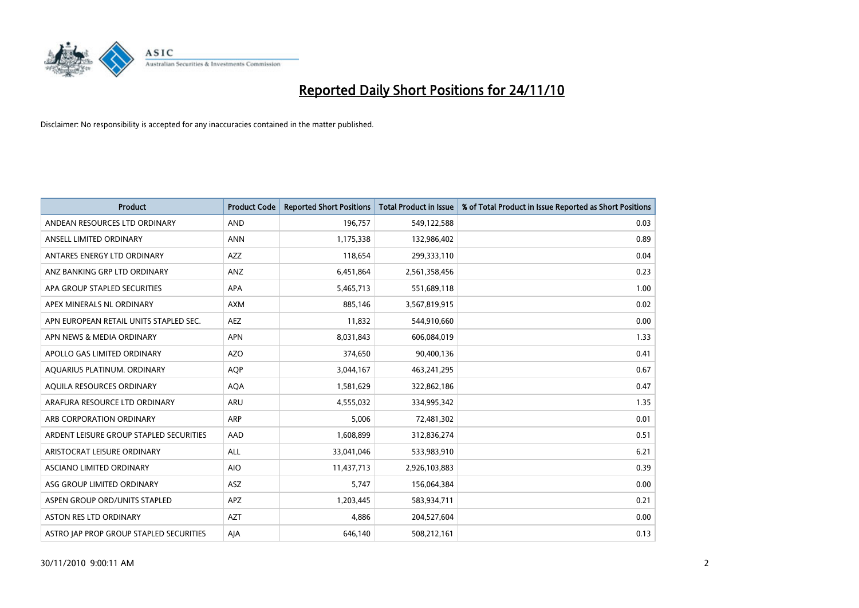

| <b>Product</b>                          | <b>Product Code</b> | <b>Reported Short Positions</b> | Total Product in Issue | % of Total Product in Issue Reported as Short Positions |
|-----------------------------------------|---------------------|---------------------------------|------------------------|---------------------------------------------------------|
| ANDEAN RESOURCES LTD ORDINARY           | <b>AND</b>          | 196,757                         | 549,122,588            | 0.03                                                    |
| ANSELL LIMITED ORDINARY                 | <b>ANN</b>          | 1,175,338                       | 132,986,402            | 0.89                                                    |
| ANTARES ENERGY LTD ORDINARY             | AZZ                 | 118,654                         | 299,333,110            | 0.04                                                    |
| ANZ BANKING GRP LTD ORDINARY            | ANZ                 | 6,451,864                       | 2,561,358,456          | 0.23                                                    |
| APA GROUP STAPLED SECURITIES            | <b>APA</b>          | 5,465,713                       | 551,689,118            | 1.00                                                    |
| APEX MINERALS NL ORDINARY               | <b>AXM</b>          | 885,146                         | 3,567,819,915          | 0.02                                                    |
| APN EUROPEAN RETAIL UNITS STAPLED SEC.  | <b>AEZ</b>          | 11,832                          | 544,910,660            | 0.00                                                    |
| APN NEWS & MEDIA ORDINARY               | <b>APN</b>          | 8,031,843                       | 606,084,019            | 1.33                                                    |
| APOLLO GAS LIMITED ORDINARY             | <b>AZO</b>          | 374,650                         | 90,400,136             | 0.41                                                    |
| AOUARIUS PLATINUM. ORDINARY             | <b>AOP</b>          | 3,044,167                       | 463,241,295            | 0.67                                                    |
| AQUILA RESOURCES ORDINARY               | <b>AQA</b>          | 1,581,629                       | 322,862,186            | 0.47                                                    |
| ARAFURA RESOURCE LTD ORDINARY           | ARU                 | 4,555,032                       | 334,995,342            | 1.35                                                    |
| ARB CORPORATION ORDINARY                | ARP                 | 5,006                           | 72,481,302             | 0.01                                                    |
| ARDENT LEISURE GROUP STAPLED SECURITIES | AAD                 | 1,608,899                       | 312,836,274            | 0.51                                                    |
| ARISTOCRAT LEISURE ORDINARY             | ALL                 | 33,041,046                      | 533,983,910            | 6.21                                                    |
| ASCIANO LIMITED ORDINARY                | <b>AIO</b>          | 11,437,713                      | 2,926,103,883          | 0.39                                                    |
| ASG GROUP LIMITED ORDINARY              | <b>ASZ</b>          | 5,747                           | 156,064,384            | 0.00                                                    |
| ASPEN GROUP ORD/UNITS STAPLED           | APZ                 | 1,203,445                       | 583,934,711            | 0.21                                                    |
| <b>ASTON RES LTD ORDINARY</b>           | <b>AZT</b>          | 4,886                           | 204,527,604            | 0.00                                                    |
| ASTRO JAP PROP GROUP STAPLED SECURITIES | AJA                 | 646.140                         | 508,212,161            | 0.13                                                    |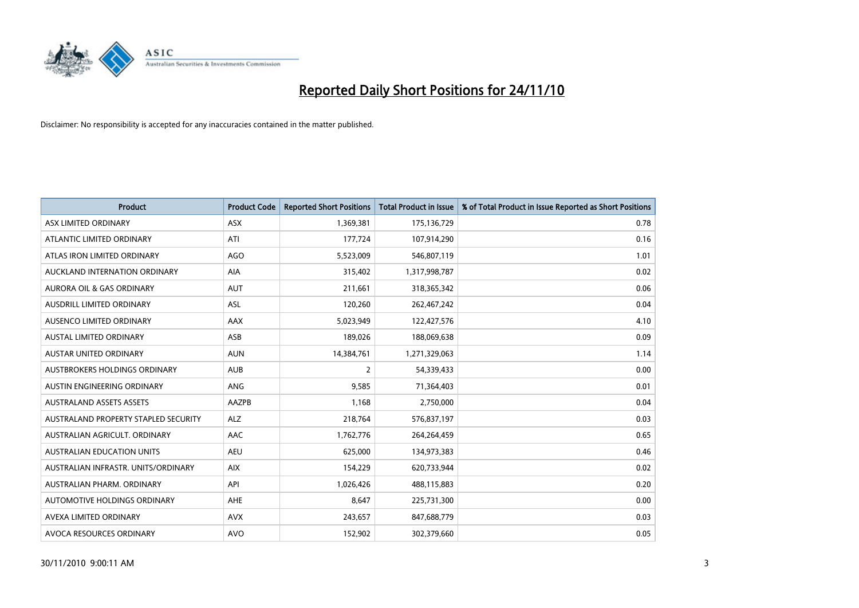

| <b>Product</b>                       | <b>Product Code</b> | <b>Reported Short Positions</b> | Total Product in Issue | % of Total Product in Issue Reported as Short Positions |
|--------------------------------------|---------------------|---------------------------------|------------------------|---------------------------------------------------------|
| ASX LIMITED ORDINARY                 | <b>ASX</b>          | 1,369,381                       | 175,136,729            | 0.78                                                    |
| ATLANTIC LIMITED ORDINARY            | ATI                 | 177,724                         | 107,914,290            | 0.16                                                    |
| ATLAS IRON LIMITED ORDINARY          | <b>AGO</b>          | 5,523,009                       | 546,807,119            | 1.01                                                    |
| AUCKLAND INTERNATION ORDINARY        | AIA                 | 315,402                         | 1,317,998,787          | 0.02                                                    |
| <b>AURORA OIL &amp; GAS ORDINARY</b> | <b>AUT</b>          | 211,661                         | 318,365,342            | 0.06                                                    |
| <b>AUSDRILL LIMITED ORDINARY</b>     | <b>ASL</b>          | 120,260                         | 262,467,242            | 0.04                                                    |
| AUSENCO LIMITED ORDINARY             | AAX                 | 5,023,949                       | 122,427,576            | 4.10                                                    |
| <b>AUSTAL LIMITED ORDINARY</b>       | ASB                 | 189,026                         | 188,069,638            | 0.09                                                    |
| AUSTAR UNITED ORDINARY               | <b>AUN</b>          | 14,384,761                      | 1,271,329,063          | 1.14                                                    |
| <b>AUSTBROKERS HOLDINGS ORDINARY</b> | <b>AUB</b>          | $\overline{2}$                  | 54,339,433             | 0.00                                                    |
| AUSTIN ENGINEERING ORDINARY          | <b>ANG</b>          | 9,585                           | 71,364,403             | 0.01                                                    |
| <b>AUSTRALAND ASSETS ASSETS</b>      | <b>AAZPB</b>        | 1,168                           | 2,750,000              | 0.04                                                    |
| AUSTRALAND PROPERTY STAPLED SECURITY | <b>ALZ</b>          | 218,764                         | 576,837,197            | 0.03                                                    |
| AUSTRALIAN AGRICULT, ORDINARY        | AAC                 | 1,762,776                       | 264,264,459            | 0.65                                                    |
| <b>AUSTRALIAN EDUCATION UNITS</b>    | <b>AEU</b>          | 625,000                         | 134,973,383            | 0.46                                                    |
| AUSTRALIAN INFRASTR. UNITS/ORDINARY  | <b>AIX</b>          | 154,229                         | 620,733,944            | 0.02                                                    |
| AUSTRALIAN PHARM, ORDINARY           | API                 | 1,026,426                       | 488,115,883            | 0.20                                                    |
| AUTOMOTIVE HOLDINGS ORDINARY         | <b>AHE</b>          | 8,647                           | 225,731,300            | 0.00                                                    |
| AVEXA LIMITED ORDINARY               | <b>AVX</b>          | 243,657                         | 847,688,779            | 0.03                                                    |
| AVOCA RESOURCES ORDINARY             | <b>AVO</b>          | 152,902                         | 302,379,660            | 0.05                                                    |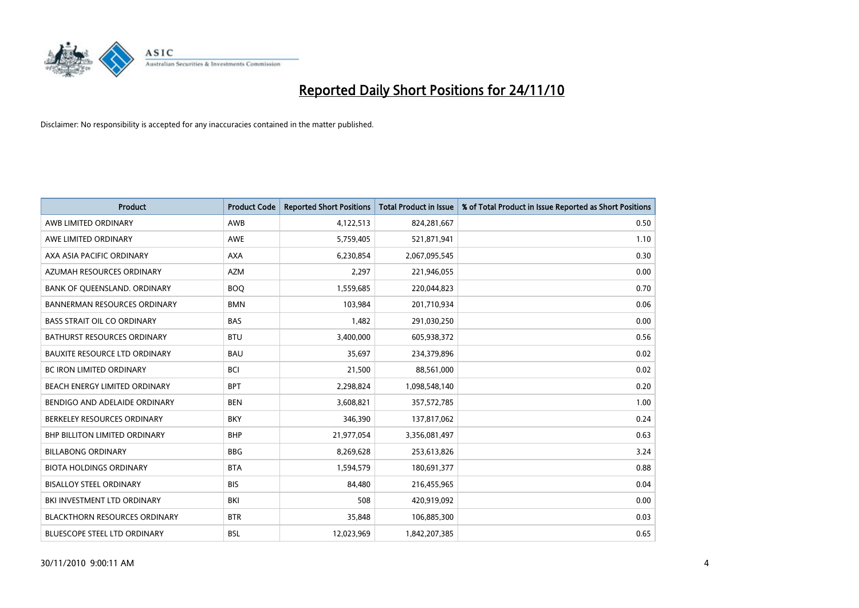

| Product                              | <b>Product Code</b> | <b>Reported Short Positions</b> | <b>Total Product in Issue</b> | % of Total Product in Issue Reported as Short Positions |
|--------------------------------------|---------------------|---------------------------------|-------------------------------|---------------------------------------------------------|
| AWB LIMITED ORDINARY                 | AWB                 | 4,122,513                       | 824,281,667                   | 0.50                                                    |
| AWE LIMITED ORDINARY                 | AWE                 | 5,759,405                       | 521,871,941                   | 1.10                                                    |
| AXA ASIA PACIFIC ORDINARY            | <b>AXA</b>          | 6,230,854                       | 2,067,095,545                 | 0.30                                                    |
| AZUMAH RESOURCES ORDINARY            | <b>AZM</b>          | 2,297                           | 221,946,055                   | 0.00                                                    |
| BANK OF QUEENSLAND. ORDINARY         | <b>BOQ</b>          | 1,559,685                       | 220,044,823                   | 0.70                                                    |
| <b>BANNERMAN RESOURCES ORDINARY</b>  | <b>BMN</b>          | 103,984                         | 201,710,934                   | 0.06                                                    |
| <b>BASS STRAIT OIL CO ORDINARY</b>   | <b>BAS</b>          | 1,482                           | 291,030,250                   | 0.00                                                    |
| BATHURST RESOURCES ORDINARY          | <b>BTU</b>          | 3,400,000                       | 605,938,372                   | 0.56                                                    |
| BAUXITE RESOURCE LTD ORDINARY        | <b>BAU</b>          | 35,697                          | 234,379,896                   | 0.02                                                    |
| <b>BC IRON LIMITED ORDINARY</b>      | <b>BCI</b>          | 21,500                          | 88,561,000                    | 0.02                                                    |
| BEACH ENERGY LIMITED ORDINARY        | <b>BPT</b>          | 2,298,824                       | 1,098,548,140                 | 0.20                                                    |
| BENDIGO AND ADELAIDE ORDINARY        | <b>BEN</b>          | 3,608,821                       | 357,572,785                   | 1.00                                                    |
| BERKELEY RESOURCES ORDINARY          | <b>BKY</b>          | 346,390                         | 137,817,062                   | 0.24                                                    |
| <b>BHP BILLITON LIMITED ORDINARY</b> | <b>BHP</b>          | 21,977,054                      | 3,356,081,497                 | 0.63                                                    |
| <b>BILLABONG ORDINARY</b>            | <b>BBG</b>          | 8,269,628                       | 253,613,826                   | 3.24                                                    |
| <b>BIOTA HOLDINGS ORDINARY</b>       | <b>BTA</b>          | 1,594,579                       | 180,691,377                   | 0.88                                                    |
| <b>BISALLOY STEEL ORDINARY</b>       | <b>BIS</b>          | 84,480                          | 216,455,965                   | 0.04                                                    |
| BKI INVESTMENT LTD ORDINARY          | <b>BKI</b>          | 508                             | 420,919,092                   | 0.00                                                    |
| <b>BLACKTHORN RESOURCES ORDINARY</b> | <b>BTR</b>          | 35,848                          | 106,885,300                   | 0.03                                                    |
| <b>BLUESCOPE STEEL LTD ORDINARY</b>  | <b>BSL</b>          | 12,023,969                      | 1,842,207,385                 | 0.65                                                    |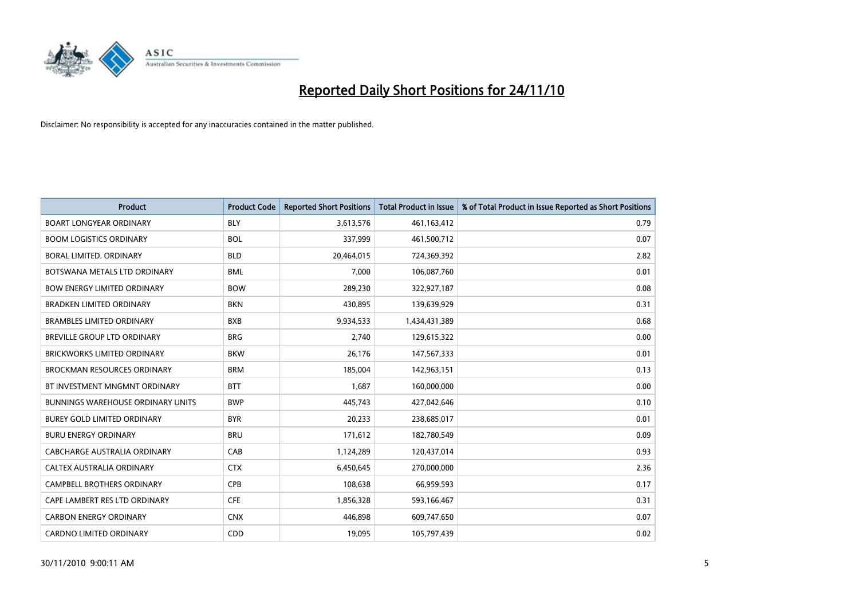

| Product                                  | <b>Product Code</b> | <b>Reported Short Positions</b> | <b>Total Product in Issue</b> | % of Total Product in Issue Reported as Short Positions |
|------------------------------------------|---------------------|---------------------------------|-------------------------------|---------------------------------------------------------|
| <b>BOART LONGYEAR ORDINARY</b>           | <b>BLY</b>          | 3,613,576                       | 461,163,412                   | 0.79                                                    |
| <b>BOOM LOGISTICS ORDINARY</b>           | <b>BOL</b>          | 337,999                         | 461,500,712                   | 0.07                                                    |
| BORAL LIMITED, ORDINARY                  | <b>BLD</b>          | 20,464,015                      | 724,369,392                   | 2.82                                                    |
| BOTSWANA METALS LTD ORDINARY             | <b>BML</b>          | 7,000                           | 106,087,760                   | 0.01                                                    |
| <b>BOW ENERGY LIMITED ORDINARY</b>       | <b>BOW</b>          | 289,230                         | 322,927,187                   | 0.08                                                    |
| <b>BRADKEN LIMITED ORDINARY</b>          | <b>BKN</b>          | 430,895                         | 139,639,929                   | 0.31                                                    |
| <b>BRAMBLES LIMITED ORDINARY</b>         | <b>BXB</b>          | 9,934,533                       | 1,434,431,389                 | 0.68                                                    |
| BREVILLE GROUP LTD ORDINARY              | <b>BRG</b>          | 2,740                           | 129,615,322                   | 0.00                                                    |
| BRICKWORKS LIMITED ORDINARY              | <b>BKW</b>          | 26,176                          | 147,567,333                   | 0.01                                                    |
| <b>BROCKMAN RESOURCES ORDINARY</b>       | <b>BRM</b>          | 185,004                         | 142,963,151                   | 0.13                                                    |
| BT INVESTMENT MNGMNT ORDINARY            | <b>BTT</b>          | 1,687                           | 160,000,000                   | 0.00                                                    |
| <b>BUNNINGS WAREHOUSE ORDINARY UNITS</b> | <b>BWP</b>          | 445,743                         | 427,042,646                   | 0.10                                                    |
| <b>BUREY GOLD LIMITED ORDINARY</b>       | <b>BYR</b>          | 20,233                          | 238,685,017                   | 0.01                                                    |
| <b>BURU ENERGY ORDINARY</b>              | <b>BRU</b>          | 171,612                         | 182,780,549                   | 0.09                                                    |
| <b>CABCHARGE AUSTRALIA ORDINARY</b>      | CAB                 | 1,124,289                       | 120,437,014                   | 0.93                                                    |
| CALTEX AUSTRALIA ORDINARY                | <b>CTX</b>          | 6,450,645                       | 270,000,000                   | 2.36                                                    |
| <b>CAMPBELL BROTHERS ORDINARY</b>        | CPB                 | 108,638                         | 66,959,593                    | 0.17                                                    |
| CAPE LAMBERT RES LTD ORDINARY            | <b>CFE</b>          | 1,856,328                       | 593,166,467                   | 0.31                                                    |
| <b>CARBON ENERGY ORDINARY</b>            | <b>CNX</b>          | 446,898                         | 609,747,650                   | 0.07                                                    |
| CARDNO LIMITED ORDINARY                  | CDD                 | 19,095                          | 105,797,439                   | 0.02                                                    |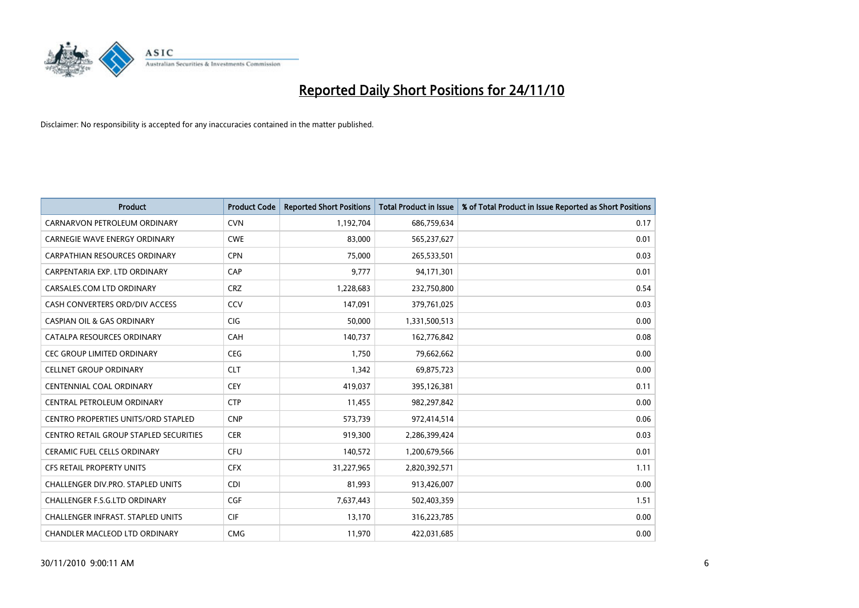

| <b>Product</b>                                | <b>Product Code</b> | <b>Reported Short Positions</b> | Total Product in Issue | % of Total Product in Issue Reported as Short Positions |
|-----------------------------------------------|---------------------|---------------------------------|------------------------|---------------------------------------------------------|
| CARNARVON PETROLEUM ORDINARY                  | <b>CVN</b>          | 1,192,704                       | 686,759,634            | 0.17                                                    |
| CARNEGIE WAVE ENERGY ORDINARY                 | <b>CWE</b>          | 83,000                          | 565,237,627            | 0.01                                                    |
| CARPATHIAN RESOURCES ORDINARY                 | <b>CPN</b>          | 75,000                          | 265,533,501            | 0.03                                                    |
| CARPENTARIA EXP. LTD ORDINARY                 | CAP                 | 9,777                           | 94,171,301             | 0.01                                                    |
| CARSALES.COM LTD ORDINARY                     | <b>CRZ</b>          | 1,228,683                       | 232,750,800            | 0.54                                                    |
| CASH CONVERTERS ORD/DIV ACCESS                | CCV                 | 147,091                         | 379,761,025            | 0.03                                                    |
| <b>CASPIAN OIL &amp; GAS ORDINARY</b>         | <b>CIG</b>          | 50,000                          | 1,331,500,513          | 0.00                                                    |
| CATALPA RESOURCES ORDINARY                    | CAH                 | 140,737                         | 162,776,842            | 0.08                                                    |
| CEC GROUP LIMITED ORDINARY                    | <b>CEG</b>          | 1,750                           | 79,662,662             | 0.00                                                    |
| <b>CELLNET GROUP ORDINARY</b>                 | <b>CLT</b>          | 1,342                           | 69,875,723             | 0.00                                                    |
| CENTENNIAL COAL ORDINARY                      | <b>CEY</b>          | 419,037                         | 395,126,381            | 0.11                                                    |
| CENTRAL PETROLEUM ORDINARY                    | <b>CTP</b>          | 11,455                          | 982,297,842            | 0.00                                                    |
| <b>CENTRO PROPERTIES UNITS/ORD STAPLED</b>    | <b>CNP</b>          | 573,739                         | 972,414,514            | 0.06                                                    |
| <b>CENTRO RETAIL GROUP STAPLED SECURITIES</b> | <b>CER</b>          | 919,300                         | 2,286,399,424          | 0.03                                                    |
| <b>CERAMIC FUEL CELLS ORDINARY</b>            | <b>CFU</b>          | 140,572                         | 1,200,679,566          | 0.01                                                    |
| CFS RETAIL PROPERTY UNITS                     | <b>CFX</b>          | 31,227,965                      | 2,820,392,571          | 1.11                                                    |
| <b>CHALLENGER DIV.PRO. STAPLED UNITS</b>      | <b>CDI</b>          | 81,993                          | 913,426,007            | 0.00                                                    |
| CHALLENGER F.S.G.LTD ORDINARY                 | <b>CGF</b>          | 7,637,443                       | 502,403,359            | 1.51                                                    |
| <b>CHALLENGER INFRAST, STAPLED UNITS</b>      | <b>CIF</b>          | 13,170                          | 316,223,785            | 0.00                                                    |
| CHANDLER MACLEOD LTD ORDINARY                 | <b>CMG</b>          | 11,970                          | 422,031,685            | 0.00                                                    |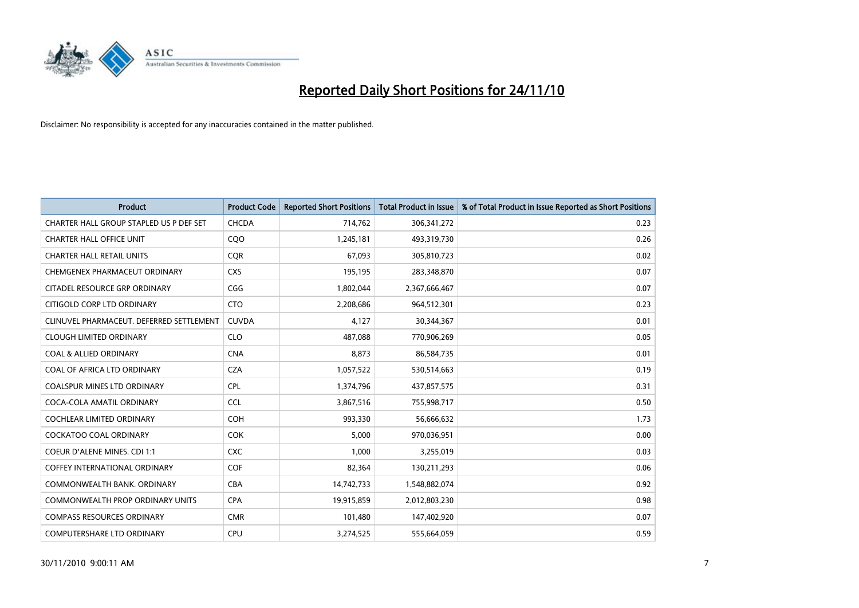

| <b>Product</b>                           | <b>Product Code</b> | <b>Reported Short Positions</b> | Total Product in Issue | % of Total Product in Issue Reported as Short Positions |
|------------------------------------------|---------------------|---------------------------------|------------------------|---------------------------------------------------------|
| CHARTER HALL GROUP STAPLED US P DEF SET  | CHCDA               | 714,762                         | 306, 341, 272          | 0.23                                                    |
| <b>CHARTER HALL OFFICE UNIT</b>          | CQ <sub>O</sub>     | 1,245,181                       | 493,319,730            | 0.26                                                    |
| <b>CHARTER HALL RETAIL UNITS</b>         | <b>COR</b>          | 67,093                          | 305,810,723            | 0.02                                                    |
| CHEMGENEX PHARMACEUT ORDINARY            | <b>CXS</b>          | 195,195                         | 283,348,870            | 0.07                                                    |
| CITADEL RESOURCE GRP ORDINARY            | CGG                 | 1,802,044                       | 2,367,666,467          | 0.07                                                    |
| CITIGOLD CORP LTD ORDINARY               | <b>CTO</b>          | 2,208,686                       | 964,512,301            | 0.23                                                    |
| CLINUVEL PHARMACEUT. DEFERRED SETTLEMENT | <b>CUVDA</b>        | 4,127                           | 30,344,367             | 0.01                                                    |
| <b>CLOUGH LIMITED ORDINARY</b>           | <b>CLO</b>          | 487,088                         | 770,906,269            | 0.05                                                    |
| <b>COAL &amp; ALLIED ORDINARY</b>        | <b>CNA</b>          | 8,873                           | 86,584,735             | 0.01                                                    |
| COAL OF AFRICA LTD ORDINARY              | <b>CZA</b>          | 1,057,522                       | 530,514,663            | 0.19                                                    |
| <b>COALSPUR MINES LTD ORDINARY</b>       | <b>CPL</b>          | 1,374,796                       | 437,857,575            | 0.31                                                    |
| COCA-COLA AMATIL ORDINARY                | <b>CCL</b>          | 3,867,516                       | 755,998,717            | 0.50                                                    |
| <b>COCHLEAR LIMITED ORDINARY</b>         | <b>COH</b>          | 993,330                         | 56,666,632             | 1.73                                                    |
| <b>COCKATOO COAL ORDINARY</b>            | <b>COK</b>          | 5,000                           | 970,036,951            | 0.00                                                    |
| <b>COEUR D'ALENE MINES. CDI 1:1</b>      | <b>CXC</b>          | 1,000                           | 3,255,019              | 0.03                                                    |
| <b>COFFEY INTERNATIONAL ORDINARY</b>     | <b>COF</b>          | 82,364                          | 130,211,293            | 0.06                                                    |
| COMMONWEALTH BANK, ORDINARY              | <b>CBA</b>          | 14,742,733                      | 1,548,882,074          | 0.92                                                    |
| COMMONWEALTH PROP ORDINARY UNITS         | <b>CPA</b>          | 19,915,859                      | 2,012,803,230          | 0.98                                                    |
| <b>COMPASS RESOURCES ORDINARY</b>        | <b>CMR</b>          | 101,480                         | 147,402,920            | 0.07                                                    |
| COMPUTERSHARE LTD ORDINARY               | <b>CPU</b>          | 3,274,525                       | 555,664,059            | 0.59                                                    |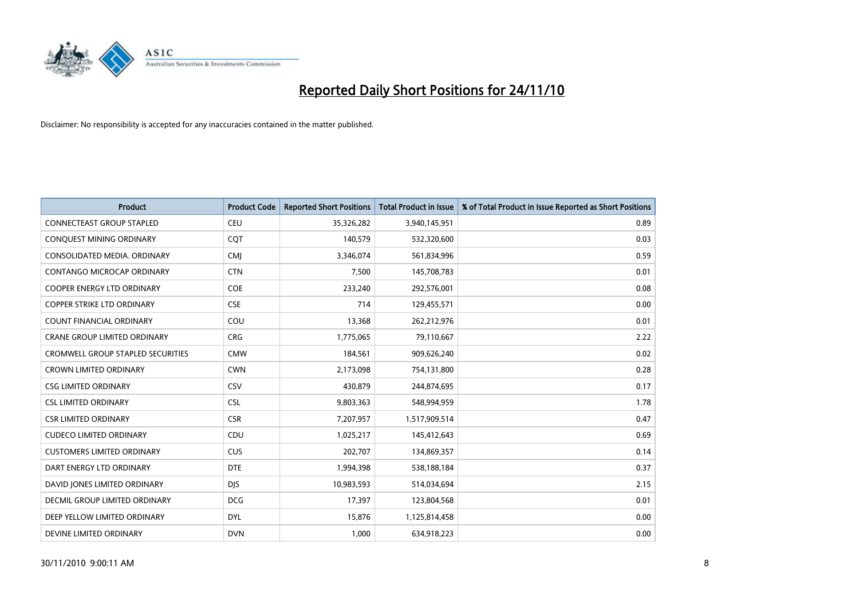

| Product                           | <b>Product Code</b> | <b>Reported Short Positions</b> | Total Product in Issue | % of Total Product in Issue Reported as Short Positions |
|-----------------------------------|---------------------|---------------------------------|------------------------|---------------------------------------------------------|
| <b>CONNECTEAST GROUP STAPLED</b>  | <b>CEU</b>          | 35,326,282                      | 3,940,145,951          | 0.89                                                    |
| CONQUEST MINING ORDINARY          | <b>COT</b>          | 140,579                         | 532,320,600            | 0.03                                                    |
| CONSOLIDATED MEDIA, ORDINARY      | <b>CMI</b>          | 3,346,074                       | 561,834,996            | 0.59                                                    |
| CONTANGO MICROCAP ORDINARY        | <b>CTN</b>          | 7,500                           | 145,708,783            | 0.01                                                    |
| <b>COOPER ENERGY LTD ORDINARY</b> | <b>COE</b>          | 233,240                         | 292,576,001            | 0.08                                                    |
| <b>COPPER STRIKE LTD ORDINARY</b> | <b>CSE</b>          | 714                             | 129,455,571            | 0.00                                                    |
| <b>COUNT FINANCIAL ORDINARY</b>   | COU                 | 13,368                          | 262,212,976            | 0.01                                                    |
| CRANE GROUP LIMITED ORDINARY      | <b>CRG</b>          | 1,775,065                       | 79,110,667             | 2.22                                                    |
| CROMWELL GROUP STAPLED SECURITIES | <b>CMW</b>          | 184,561                         | 909,626,240            | 0.02                                                    |
| <b>CROWN LIMITED ORDINARY</b>     | <b>CWN</b>          | 2,173,098                       | 754,131,800            | 0.28                                                    |
| <b>CSG LIMITED ORDINARY</b>       | <b>CSV</b>          | 430,879                         | 244,874,695            | 0.17                                                    |
| <b>CSL LIMITED ORDINARY</b>       | <b>CSL</b>          | 9,803,363                       | 548,994,959            | 1.78                                                    |
| <b>CSR LIMITED ORDINARY</b>       | <b>CSR</b>          | 7,207,957                       | 1,517,909,514          | 0.47                                                    |
| <b>CUDECO LIMITED ORDINARY</b>    | CDU                 | 1,025,217                       | 145,412,643            | 0.69                                                    |
| <b>CUSTOMERS LIMITED ORDINARY</b> | <b>CUS</b>          | 202,707                         | 134,869,357            | 0.14                                                    |
| DART ENERGY LTD ORDINARY          | <b>DTE</b>          | 1,994,398                       | 538,188,184            | 0.37                                                    |
| DAVID JONES LIMITED ORDINARY      | <b>DJS</b>          | 10,983,593                      | 514,034,694            | 2.15                                                    |
| DECMIL GROUP LIMITED ORDINARY     | <b>DCG</b>          | 17,397                          | 123,804,568            | 0.01                                                    |
| DEEP YELLOW LIMITED ORDINARY      | <b>DYL</b>          | 15,876                          | 1,125,814,458          | 0.00                                                    |
| DEVINE LIMITED ORDINARY           | <b>DVN</b>          | 1,000                           | 634,918,223            | 0.00                                                    |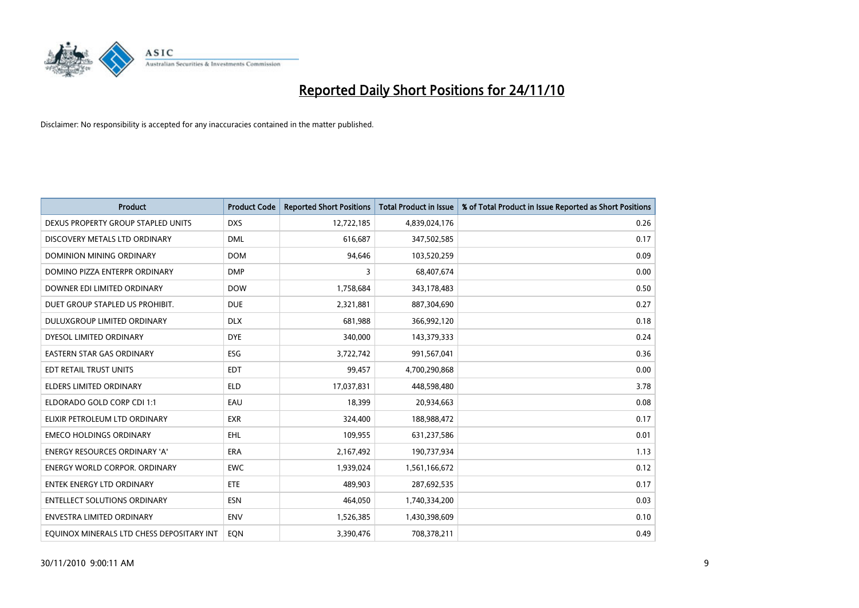

| <b>Product</b>                            | <b>Product Code</b> | <b>Reported Short Positions</b> | <b>Total Product in Issue</b> | % of Total Product in Issue Reported as Short Positions |
|-------------------------------------------|---------------------|---------------------------------|-------------------------------|---------------------------------------------------------|
| DEXUS PROPERTY GROUP STAPLED UNITS        | <b>DXS</b>          | 12,722,185                      | 4,839,024,176                 | 0.26                                                    |
| DISCOVERY METALS LTD ORDINARY             | <b>DML</b>          | 616,687                         | 347,502,585                   | 0.17                                                    |
| DOMINION MINING ORDINARY                  | <b>DOM</b>          | 94,646                          | 103,520,259                   | 0.09                                                    |
| DOMINO PIZZA ENTERPR ORDINARY             | <b>DMP</b>          | 3                               | 68,407,674                    | 0.00                                                    |
| DOWNER EDI LIMITED ORDINARY               | <b>DOW</b>          | 1,758,684                       | 343,178,483                   | 0.50                                                    |
| DUET GROUP STAPLED US PROHIBIT.           | <b>DUE</b>          | 2,321,881                       | 887,304,690                   | 0.27                                                    |
| <b>DULUXGROUP LIMITED ORDINARY</b>        | <b>DLX</b>          | 681,988                         | 366,992,120                   | 0.18                                                    |
| DYESOL LIMITED ORDINARY                   | <b>DYE</b>          | 340,000                         | 143,379,333                   | 0.24                                                    |
| EASTERN STAR GAS ORDINARY                 | <b>ESG</b>          | 3,722,742                       | 991,567,041                   | 0.36                                                    |
| EDT RETAIL TRUST UNITS                    | <b>EDT</b>          | 99,457                          | 4,700,290,868                 | 0.00                                                    |
| <b>ELDERS LIMITED ORDINARY</b>            | <b>ELD</b>          | 17,037,831                      | 448,598,480                   | 3.78                                                    |
| ELDORADO GOLD CORP CDI 1:1                | EAU                 | 18,399                          | 20,934,663                    | 0.08                                                    |
| ELIXIR PETROLEUM LTD ORDINARY             | <b>EXR</b>          | 324,400                         | 188,988,472                   | 0.17                                                    |
| <b>EMECO HOLDINGS ORDINARY</b>            | <b>EHL</b>          | 109,955                         | 631,237,586                   | 0.01                                                    |
| <b>ENERGY RESOURCES ORDINARY 'A'</b>      | <b>ERA</b>          | 2,167,492                       | 190,737,934                   | 1.13                                                    |
| <b>ENERGY WORLD CORPOR, ORDINARY</b>      | <b>EWC</b>          | 1,939,024                       | 1,561,166,672                 | 0.12                                                    |
| <b>ENTEK ENERGY LTD ORDINARY</b>          | <b>ETE</b>          | 489,903                         | 287,692,535                   | 0.17                                                    |
| <b>ENTELLECT SOLUTIONS ORDINARY</b>       | <b>ESN</b>          | 464,050                         | 1,740,334,200                 | 0.03                                                    |
| <b>ENVESTRA LIMITED ORDINARY</b>          | <b>ENV</b>          | 1,526,385                       | 1,430,398,609                 | 0.10                                                    |
| EOUINOX MINERALS LTD CHESS DEPOSITARY INT | EON                 | 3,390,476                       | 708,378,211                   | 0.49                                                    |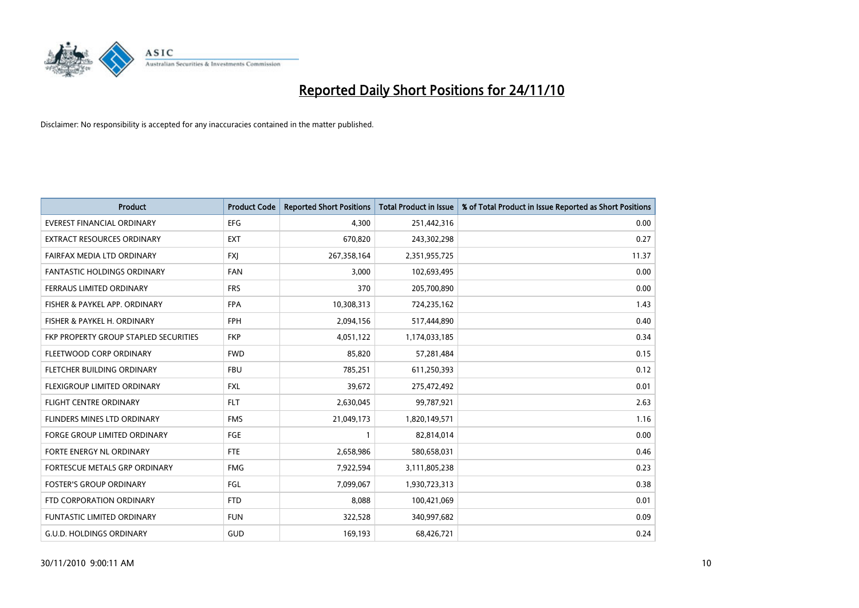

| Product                               | <b>Product Code</b> | <b>Reported Short Positions</b> | <b>Total Product in Issue</b> | % of Total Product in Issue Reported as Short Positions |
|---------------------------------------|---------------------|---------------------------------|-------------------------------|---------------------------------------------------------|
| <b>EVEREST FINANCIAL ORDINARY</b>     | <b>EFG</b>          | 4,300                           | 251,442,316                   | 0.00                                                    |
| EXTRACT RESOURCES ORDINARY            | <b>EXT</b>          | 670,820                         | 243,302,298                   | 0.27                                                    |
| FAIRFAX MEDIA LTD ORDINARY            | <b>FXI</b>          | 267,358,164                     | 2,351,955,725                 | 11.37                                                   |
| FANTASTIC HOLDINGS ORDINARY           | <b>FAN</b>          | 3,000                           | 102,693,495                   | 0.00                                                    |
| FERRAUS LIMITED ORDINARY              | <b>FRS</b>          | 370                             | 205,700,890                   | 0.00                                                    |
| FISHER & PAYKEL APP. ORDINARY         | <b>FPA</b>          | 10,308,313                      | 724,235,162                   | 1.43                                                    |
| FISHER & PAYKEL H. ORDINARY           | <b>FPH</b>          | 2,094,156                       | 517,444,890                   | 0.40                                                    |
| FKP PROPERTY GROUP STAPLED SECURITIES | <b>FKP</b>          | 4,051,122                       | 1,174,033,185                 | 0.34                                                    |
| FLEETWOOD CORP ORDINARY               | <b>FWD</b>          | 85,820                          | 57,281,484                    | 0.15                                                    |
| FLETCHER BUILDING ORDINARY            | <b>FBU</b>          | 785,251                         | 611,250,393                   | 0.12                                                    |
| FLEXIGROUP LIMITED ORDINARY           | <b>FXL</b>          | 39,672                          | 275,472,492                   | 0.01                                                    |
| <b>FLIGHT CENTRE ORDINARY</b>         | <b>FLT</b>          | 2,630,045                       | 99,787,921                    | 2.63                                                    |
| FLINDERS MINES LTD ORDINARY           | <b>FMS</b>          | 21,049,173                      | 1,820,149,571                 | 1.16                                                    |
| <b>FORGE GROUP LIMITED ORDINARY</b>   | FGE                 |                                 | 82,814,014                    | 0.00                                                    |
| FORTE ENERGY NL ORDINARY              | <b>FTE</b>          | 2,658,986                       | 580,658,031                   | 0.46                                                    |
| FORTESCUE METALS GRP ORDINARY         | <b>FMG</b>          | 7,922,594                       | 3,111,805,238                 | 0.23                                                    |
| <b>FOSTER'S GROUP ORDINARY</b>        | FGL                 | 7,099,067                       | 1,930,723,313                 | 0.38                                                    |
| FTD CORPORATION ORDINARY              | <b>FTD</b>          | 8,088                           | 100,421,069                   | 0.01                                                    |
| FUNTASTIC LIMITED ORDINARY            | <b>FUN</b>          | 322,528                         | 340,997,682                   | 0.09                                                    |
| G.U.D. HOLDINGS ORDINARY              | <b>GUD</b>          | 169,193                         | 68,426,721                    | 0.24                                                    |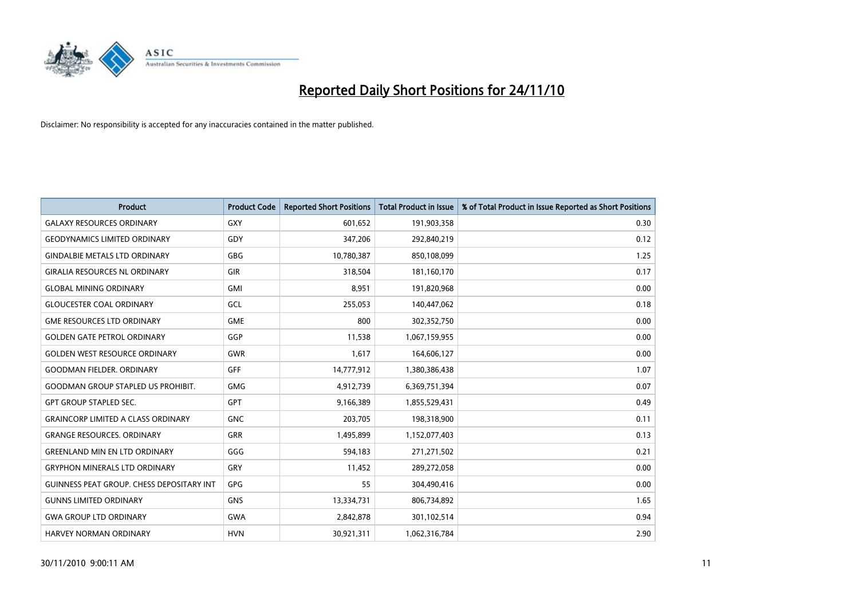

| <b>Product</b>                                   | <b>Product Code</b> | <b>Reported Short Positions</b> | Total Product in Issue | % of Total Product in Issue Reported as Short Positions |
|--------------------------------------------------|---------------------|---------------------------------|------------------------|---------------------------------------------------------|
| <b>GALAXY RESOURCES ORDINARY</b>                 | <b>GXY</b>          | 601,652                         | 191,903,358            | 0.30                                                    |
| <b>GEODYNAMICS LIMITED ORDINARY</b>              | GDY                 | 347,206                         | 292,840,219            | 0.12                                                    |
| <b>GINDALBIE METALS LTD ORDINARY</b>             | GBG                 | 10,780,387                      | 850,108,099            | 1.25                                                    |
| <b>GIRALIA RESOURCES NL ORDINARY</b>             | GIR                 | 318,504                         | 181,160,170            | 0.17                                                    |
| <b>GLOBAL MINING ORDINARY</b>                    | <b>GMI</b>          | 8,951                           | 191,820,968            | 0.00                                                    |
| <b>GLOUCESTER COAL ORDINARY</b>                  | GCL                 | 255,053                         | 140,447,062            | 0.18                                                    |
| <b>GME RESOURCES LTD ORDINARY</b>                | <b>GME</b>          | 800                             | 302,352,750            | 0.00                                                    |
| <b>GOLDEN GATE PETROL ORDINARY</b>               | GGP                 | 11,538                          | 1,067,159,955          | 0.00                                                    |
| <b>GOLDEN WEST RESOURCE ORDINARY</b>             | <b>GWR</b>          | 1,617                           | 164,606,127            | 0.00                                                    |
| <b>GOODMAN FIELDER, ORDINARY</b>                 | <b>GFF</b>          | 14,777,912                      | 1,380,386,438          | 1.07                                                    |
| <b>GOODMAN GROUP STAPLED US PROHIBIT.</b>        | <b>GMG</b>          | 4,912,739                       | 6,369,751,394          | 0.07                                                    |
| <b>GPT GROUP STAPLED SEC.</b>                    | <b>GPT</b>          | 9,166,389                       | 1,855,529,431          | 0.49                                                    |
| <b>GRAINCORP LIMITED A CLASS ORDINARY</b>        | <b>GNC</b>          | 203,705                         | 198,318,900            | 0.11                                                    |
| <b>GRANGE RESOURCES, ORDINARY</b>                | <b>GRR</b>          | 1,495,899                       | 1,152,077,403          | 0.13                                                    |
| <b>GREENLAND MIN EN LTD ORDINARY</b>             | GGG                 | 594,183                         | 271,271,502            | 0.21                                                    |
| <b>GRYPHON MINERALS LTD ORDINARY</b>             | <b>GRY</b>          | 11,452                          | 289,272,058            | 0.00                                                    |
| <b>GUINNESS PEAT GROUP. CHESS DEPOSITARY INT</b> | <b>GPG</b>          | 55                              | 304,490,416            | 0.00                                                    |
| <b>GUNNS LIMITED ORDINARY</b>                    | <b>GNS</b>          | 13,334,731                      | 806,734,892            | 1.65                                                    |
| <b>GWA GROUP LTD ORDINARY</b>                    | <b>GWA</b>          | 2,842,878                       | 301,102,514            | 0.94                                                    |
| <b>HARVEY NORMAN ORDINARY</b>                    | <b>HVN</b>          | 30.921.311                      | 1,062,316,784          | 2.90                                                    |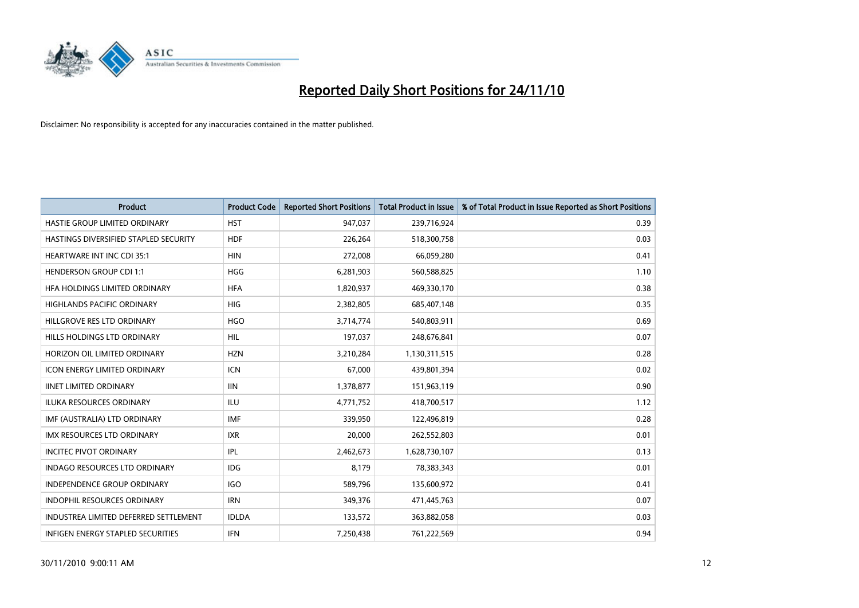

| <b>Product</b>                        | <b>Product Code</b> | <b>Reported Short Positions</b> | Total Product in Issue | % of Total Product in Issue Reported as Short Positions |
|---------------------------------------|---------------------|---------------------------------|------------------------|---------------------------------------------------------|
| HASTIE GROUP LIMITED ORDINARY         | <b>HST</b>          | 947,037                         | 239,716,924            | 0.39                                                    |
| HASTINGS DIVERSIFIED STAPLED SECURITY | <b>HDF</b>          | 226,264                         | 518,300,758            | 0.03                                                    |
| <b>HEARTWARE INT INC CDI 35:1</b>     | <b>HIN</b>          | 272,008                         | 66,059,280             | 0.41                                                    |
| <b>HENDERSON GROUP CDI 1:1</b>        | <b>HGG</b>          | 6,281,903                       | 560,588,825            | 1.10                                                    |
| HEA HOLDINGS LIMITED ORDINARY         | <b>HFA</b>          | 1,820,937                       | 469,330,170            | 0.38                                                    |
| <b>HIGHLANDS PACIFIC ORDINARY</b>     | <b>HIG</b>          | 2,382,805                       | 685,407,148            | 0.35                                                    |
| HILLGROVE RES LTD ORDINARY            | <b>HGO</b>          | 3,714,774                       | 540,803,911            | 0.69                                                    |
| HILLS HOLDINGS LTD ORDINARY           | <b>HIL</b>          | 197,037                         | 248,676,841            | 0.07                                                    |
| HORIZON OIL LIMITED ORDINARY          | <b>HZN</b>          | 3,210,284                       | 1,130,311,515          | 0.28                                                    |
| <b>ICON ENERGY LIMITED ORDINARY</b>   | <b>ICN</b>          | 67,000                          | 439,801,394            | 0.02                                                    |
| <b>IINET LIMITED ORDINARY</b>         | III                 | 1,378,877                       | 151,963,119            | 0.90                                                    |
| ILUKA RESOURCES ORDINARY              | ILU                 | 4,771,752                       | 418,700,517            | 1.12                                                    |
| IMF (AUSTRALIA) LTD ORDINARY          | <b>IMF</b>          | 339,950                         | 122,496,819            | 0.28                                                    |
| <b>IMX RESOURCES LTD ORDINARY</b>     | <b>IXR</b>          | 20,000                          | 262,552,803            | 0.01                                                    |
| <b>INCITEC PIVOT ORDINARY</b>         | <b>IPL</b>          | 2,462,673                       | 1,628,730,107          | 0.13                                                    |
| <b>INDAGO RESOURCES LTD ORDINARY</b>  | IDG                 | 8.179                           | 78,383,343             | 0.01                                                    |
| <b>INDEPENDENCE GROUP ORDINARY</b>    | <b>IGO</b>          | 589,796                         | 135,600,972            | 0.41                                                    |
| INDOPHIL RESOURCES ORDINARY           | <b>IRN</b>          | 349,376                         | 471,445,763            | 0.07                                                    |
| INDUSTREA LIMITED DEFERRED SETTLEMENT | <b>IDLDA</b>        | 133,572                         | 363,882,058            | 0.03                                                    |
| INFIGEN ENERGY STAPLED SECURITIES     | <b>IFN</b>          | 7,250,438                       | 761,222,569            | 0.94                                                    |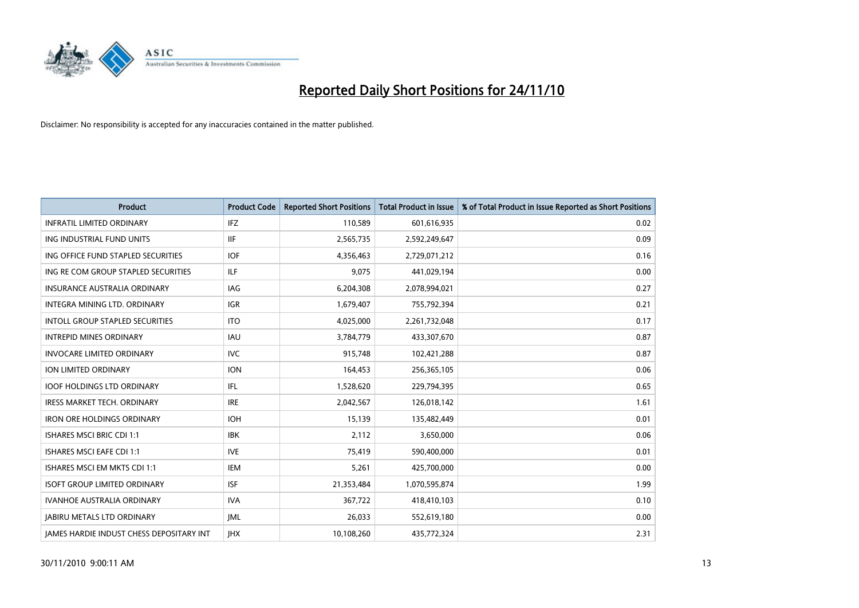

| Product                                         | <b>Product Code</b> | <b>Reported Short Positions</b> | <b>Total Product in Issue</b> | % of Total Product in Issue Reported as Short Positions |
|-------------------------------------------------|---------------------|---------------------------------|-------------------------------|---------------------------------------------------------|
| <b>INFRATIL LIMITED ORDINARY</b>                | IFZ                 | 110,589                         | 601,616,935                   | 0.02                                                    |
| ING INDUSTRIAL FUND UNITS                       | <b>IIF</b>          | 2,565,735                       | 2,592,249,647                 | 0.09                                                    |
| ING OFFICE FUND STAPLED SECURITIES              | <b>IOF</b>          | 4,356,463                       | 2,729,071,212                 | 0.16                                                    |
| ING RE COM GROUP STAPLED SECURITIES             | <b>ILF</b>          | 9,075                           | 441,029,194                   | 0.00                                                    |
| <b>INSURANCE AUSTRALIA ORDINARY</b>             | IAG                 | 6,204,308                       | 2,078,994,021                 | 0.27                                                    |
| <b>INTEGRA MINING LTD, ORDINARY</b>             | <b>IGR</b>          | 1,679,407                       | 755,792,394                   | 0.21                                                    |
| <b>INTOLL GROUP STAPLED SECURITIES</b>          | <b>ITO</b>          | 4,025,000                       | 2,261,732,048                 | 0.17                                                    |
| <b>INTREPID MINES ORDINARY</b>                  | IAU                 | 3,784,779                       | 433,307,670                   | 0.87                                                    |
| <b>INVOCARE LIMITED ORDINARY</b>                | <b>IVC</b>          | 915,748                         | 102,421,288                   | 0.87                                                    |
| <b>ION LIMITED ORDINARY</b>                     | <b>ION</b>          | 164,453                         | 256,365,105                   | 0.06                                                    |
| <b>IOOF HOLDINGS LTD ORDINARY</b>               | IFL                 | 1,528,620                       | 229,794,395                   | 0.65                                                    |
| <b>IRESS MARKET TECH. ORDINARY</b>              | <b>IRE</b>          | 2,042,567                       | 126,018,142                   | 1.61                                                    |
| <b>IRON ORE HOLDINGS ORDINARY</b>               | <b>IOH</b>          | 15,139                          | 135,482,449                   | 0.01                                                    |
| <b>ISHARES MSCI BRIC CDI 1:1</b>                | <b>IBK</b>          | 2,112                           | 3,650,000                     | 0.06                                                    |
| <b>ISHARES MSCI EAFE CDI 1:1</b>                | <b>IVE</b>          | 75,419                          | 590,400,000                   | 0.01                                                    |
| ISHARES MSCI EM MKTS CDI 1:1                    | <b>IEM</b>          | 5,261                           | 425,700,000                   | 0.00                                                    |
| <b>ISOFT GROUP LIMITED ORDINARY</b>             | <b>ISF</b>          | 21,353,484                      | 1,070,595,874                 | 1.99                                                    |
| IVANHOE AUSTRALIA ORDINARY                      | <b>IVA</b>          | 367,722                         | 418,410,103                   | 0.10                                                    |
| <b>JABIRU METALS LTD ORDINARY</b>               | <b>JML</b>          | 26,033                          | 552,619,180                   | 0.00                                                    |
| <b>JAMES HARDIE INDUST CHESS DEPOSITARY INT</b> | <b>IHX</b>          | 10,108,260                      | 435,772,324                   | 2.31                                                    |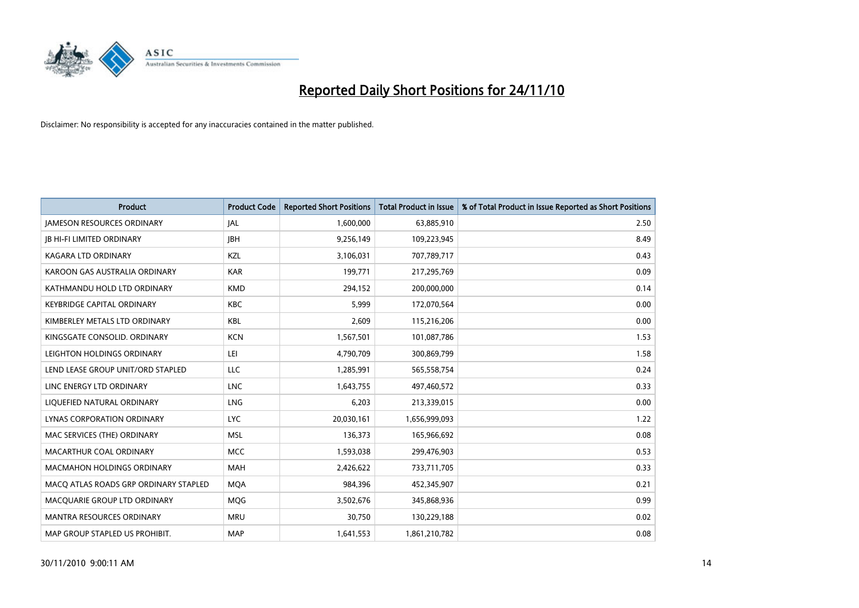

| <b>Product</b>                        | <b>Product Code</b> | <b>Reported Short Positions</b> | Total Product in Issue | % of Total Product in Issue Reported as Short Positions |
|---------------------------------------|---------------------|---------------------------------|------------------------|---------------------------------------------------------|
| <b>JAMESON RESOURCES ORDINARY</b>     | JAL                 | 1,600,000                       | 63,885,910             | 2.50                                                    |
| <b>JB HI-FI LIMITED ORDINARY</b>      | <b>IBH</b>          | 9,256,149                       | 109,223,945            | 8.49                                                    |
| <b>KAGARA LTD ORDINARY</b>            | KZL                 | 3,106,031                       | 707,789,717            | 0.43                                                    |
| KAROON GAS AUSTRALIA ORDINARY         | <b>KAR</b>          | 199,771                         | 217,295,769            | 0.09                                                    |
| KATHMANDU HOLD LTD ORDINARY           | <b>KMD</b>          | 294,152                         | 200,000,000            | 0.14                                                    |
| <b>KEYBRIDGE CAPITAL ORDINARY</b>     | <b>KBC</b>          | 5,999                           | 172,070,564            | 0.00                                                    |
| KIMBERLEY METALS LTD ORDINARY         | <b>KBL</b>          | 2,609                           | 115,216,206            | 0.00                                                    |
| KINGSGATE CONSOLID. ORDINARY          | <b>KCN</b>          | 1,567,501                       | 101,087,786            | 1.53                                                    |
| LEIGHTON HOLDINGS ORDINARY            | LEI                 | 4,790,709                       | 300,869,799            | 1.58                                                    |
| LEND LEASE GROUP UNIT/ORD STAPLED     | <b>LLC</b>          | 1,285,991                       | 565,558,754            | 0.24                                                    |
| LINC ENERGY LTD ORDINARY              | <b>LNC</b>          | 1,643,755                       | 497,460,572            | 0.33                                                    |
| LIQUEFIED NATURAL ORDINARY            | LNG                 | 6,203                           | 213,339,015            | 0.00                                                    |
| <b>LYNAS CORPORATION ORDINARY</b>     | <b>LYC</b>          | 20,030,161                      | 1,656,999,093          | 1.22                                                    |
| MAC SERVICES (THE) ORDINARY           | <b>MSL</b>          | 136,373                         | 165,966,692            | 0.08                                                    |
| MACARTHUR COAL ORDINARY               | <b>MCC</b>          | 1,593,038                       | 299,476,903            | 0.53                                                    |
| <b>MACMAHON HOLDINGS ORDINARY</b>     | <b>MAH</b>          | 2,426,622                       | 733,711,705            | 0.33                                                    |
| MACO ATLAS ROADS GRP ORDINARY STAPLED | <b>MQA</b>          | 984,396                         | 452,345,907            | 0.21                                                    |
| MACQUARIE GROUP LTD ORDINARY          | <b>MOG</b>          | 3,502,676                       | 345,868,936            | 0.99                                                    |
| MANTRA RESOURCES ORDINARY             | <b>MRU</b>          | 30,750                          | 130,229,188            | 0.02                                                    |
| MAP GROUP STAPLED US PROHIBIT.        | <b>MAP</b>          | 1,641,553                       | 1,861,210,782          | 0.08                                                    |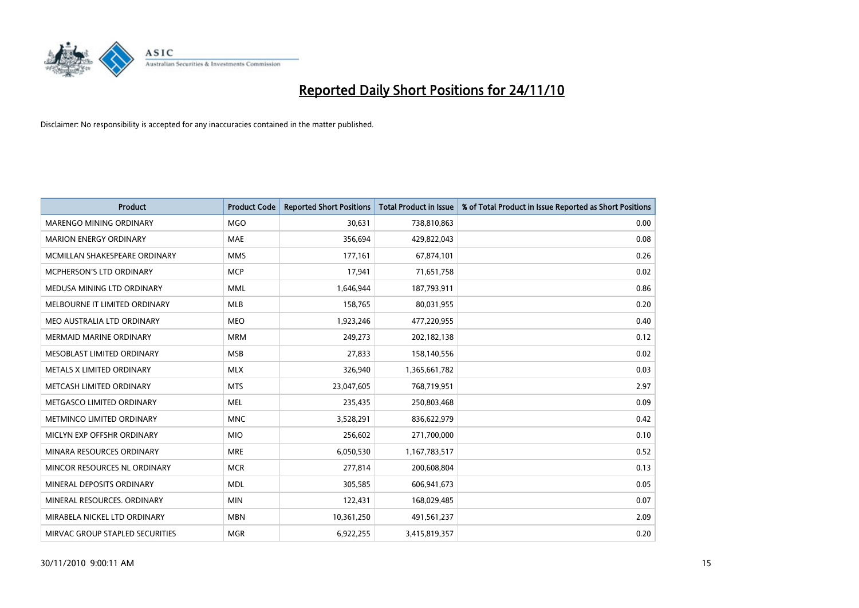

| <b>Product</b>                  | <b>Product Code</b> | <b>Reported Short Positions</b> | Total Product in Issue | % of Total Product in Issue Reported as Short Positions |
|---------------------------------|---------------------|---------------------------------|------------------------|---------------------------------------------------------|
| MARENGO MINING ORDINARY         | <b>MGO</b>          | 30,631                          | 738,810,863            | 0.00                                                    |
| <b>MARION ENERGY ORDINARY</b>   | <b>MAE</b>          | 356,694                         | 429,822,043            | 0.08                                                    |
| MCMILLAN SHAKESPEARE ORDINARY   | <b>MMS</b>          | 177,161                         | 67,874,101             | 0.26                                                    |
| MCPHERSON'S LTD ORDINARY        | <b>MCP</b>          | 17,941                          | 71,651,758             | 0.02                                                    |
| MEDUSA MINING LTD ORDINARY      | <b>MML</b>          | 1,646,944                       | 187,793,911            | 0.86                                                    |
| MELBOURNE IT LIMITED ORDINARY   | <b>MLB</b>          | 158,765                         | 80,031,955             | 0.20                                                    |
| MEO AUSTRALIA LTD ORDINARY      | <b>MEO</b>          | 1,923,246                       | 477,220,955            | 0.40                                                    |
| <b>MERMAID MARINE ORDINARY</b>  | <b>MRM</b>          | 249,273                         | 202,182,138            | 0.12                                                    |
| MESOBLAST LIMITED ORDINARY      | <b>MSB</b>          | 27,833                          | 158,140,556            | 0.02                                                    |
| METALS X LIMITED ORDINARY       | <b>MLX</b>          | 326,940                         | 1,365,661,782          | 0.03                                                    |
| METCASH LIMITED ORDINARY        | <b>MTS</b>          | 23,047,605                      | 768,719,951            | 2.97                                                    |
| METGASCO LIMITED ORDINARY       | <b>MEL</b>          | 235,435                         | 250,803,468            | 0.09                                                    |
| METMINCO LIMITED ORDINARY       | <b>MNC</b>          | 3,528,291                       | 836,622,979            | 0.42                                                    |
| MICLYN EXP OFFSHR ORDINARY      | <b>MIO</b>          | 256,602                         | 271,700,000            | 0.10                                                    |
| MINARA RESOURCES ORDINARY       | <b>MRE</b>          | 6,050,530                       | 1,167,783,517          | 0.52                                                    |
| MINCOR RESOURCES NL ORDINARY    | <b>MCR</b>          | 277,814                         | 200,608,804            | 0.13                                                    |
| MINERAL DEPOSITS ORDINARY       | <b>MDL</b>          | 305,585                         | 606,941,673            | 0.05                                                    |
| MINERAL RESOURCES. ORDINARY     | <b>MIN</b>          | 122,431                         | 168,029,485            | 0.07                                                    |
| MIRABELA NICKEL LTD ORDINARY    | <b>MBN</b>          | 10,361,250                      | 491,561,237            | 2.09                                                    |
| MIRVAC GROUP STAPLED SECURITIES | <b>MGR</b>          | 6,922,255                       | 3,415,819,357          | 0.20                                                    |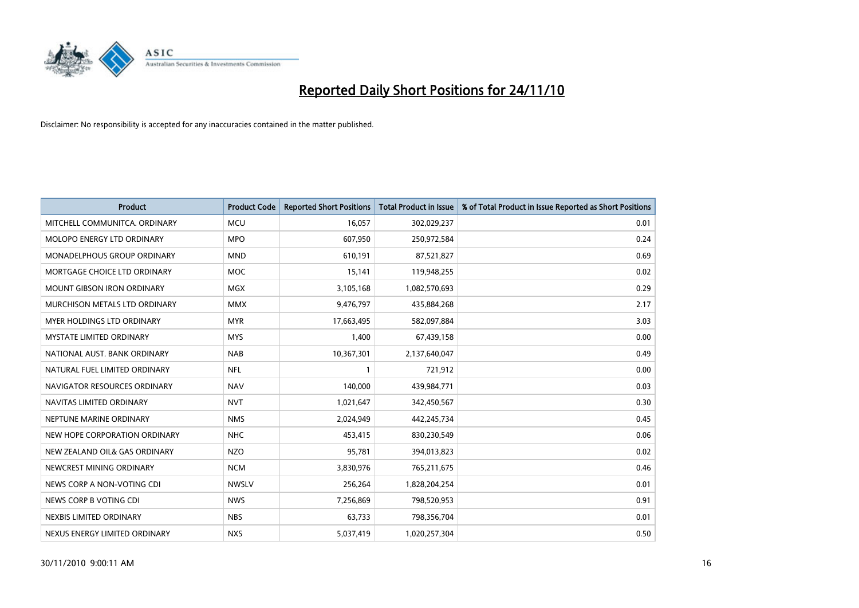

| Product                            | <b>Product Code</b> | <b>Reported Short Positions</b> | Total Product in Issue | % of Total Product in Issue Reported as Short Positions |
|------------------------------------|---------------------|---------------------------------|------------------------|---------------------------------------------------------|
| MITCHELL COMMUNITCA, ORDINARY      | <b>MCU</b>          | 16,057                          | 302,029,237            | 0.01                                                    |
| MOLOPO ENERGY LTD ORDINARY         | <b>MPO</b>          | 607,950                         | 250,972,584            | 0.24                                                    |
| <b>MONADELPHOUS GROUP ORDINARY</b> | <b>MND</b>          | 610,191                         | 87,521,827             | 0.69                                                    |
| MORTGAGE CHOICE LTD ORDINARY       | <b>MOC</b>          | 15,141                          | 119,948,255            | 0.02                                                    |
| <b>MOUNT GIBSON IRON ORDINARY</b>  | <b>MGX</b>          | 3,105,168                       | 1,082,570,693          | 0.29                                                    |
| MURCHISON METALS LTD ORDINARY      | <b>MMX</b>          | 9,476,797                       | 435,884,268            | 2.17                                                    |
| <b>MYER HOLDINGS LTD ORDINARY</b>  | <b>MYR</b>          | 17,663,495                      | 582,097,884            | 3.03                                                    |
| <b>MYSTATE LIMITED ORDINARY</b>    | <b>MYS</b>          | 1,400                           | 67,439,158             | 0.00                                                    |
| NATIONAL AUST, BANK ORDINARY       | <b>NAB</b>          | 10,367,301                      | 2,137,640,047          | 0.49                                                    |
| NATURAL FUEL LIMITED ORDINARY      | <b>NFL</b>          |                                 | 721,912                | 0.00                                                    |
| NAVIGATOR RESOURCES ORDINARY       | <b>NAV</b>          | 140,000                         | 439,984,771            | 0.03                                                    |
| NAVITAS LIMITED ORDINARY           | <b>NVT</b>          | 1,021,647                       | 342,450,567            | 0.30                                                    |
| NEPTUNE MARINE ORDINARY            | <b>NMS</b>          | 2,024,949                       | 442,245,734            | 0.45                                                    |
| NEW HOPE CORPORATION ORDINARY      | <b>NHC</b>          | 453,415                         | 830,230,549            | 0.06                                                    |
| NEW ZEALAND OIL& GAS ORDINARY      | <b>NZO</b>          | 95,781                          | 394,013,823            | 0.02                                                    |
| NEWCREST MINING ORDINARY           | <b>NCM</b>          | 3,830,976                       | 765,211,675            | 0.46                                                    |
| NEWS CORP A NON-VOTING CDI         | <b>NWSLV</b>        | 256,264                         | 1,828,204,254          | 0.01                                                    |
| NEWS CORP B VOTING CDI             | <b>NWS</b>          | 7,256,869                       | 798,520,953            | 0.91                                                    |
| NEXBIS LIMITED ORDINARY            | <b>NBS</b>          | 63,733                          | 798,356,704            | 0.01                                                    |
| NEXUS ENERGY LIMITED ORDINARY      | <b>NXS</b>          | 5,037,419                       | 1,020,257,304          | 0.50                                                    |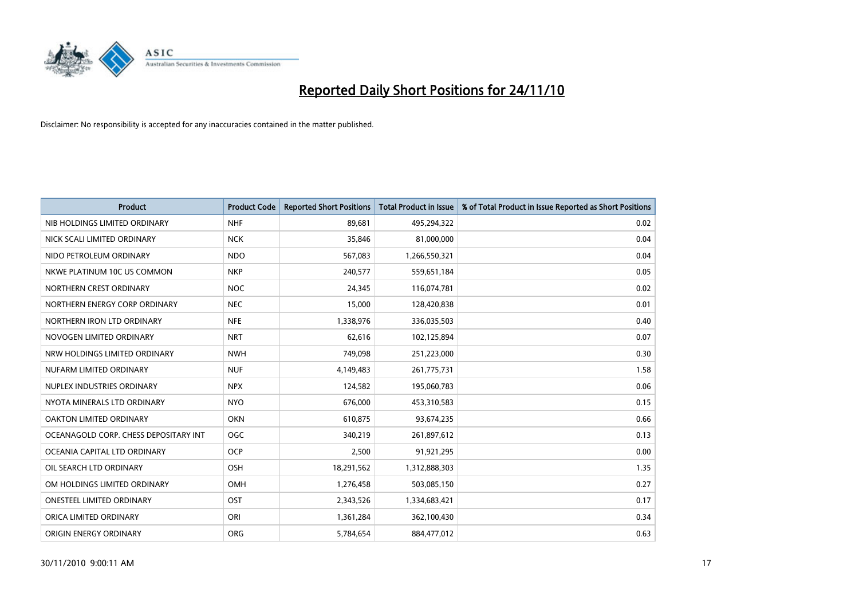

| Product                               | <b>Product Code</b> | <b>Reported Short Positions</b> | Total Product in Issue | % of Total Product in Issue Reported as Short Positions |
|---------------------------------------|---------------------|---------------------------------|------------------------|---------------------------------------------------------|
| NIB HOLDINGS LIMITED ORDINARY         | <b>NHF</b>          | 89,681                          | 495,294,322            | 0.02                                                    |
| NICK SCALI LIMITED ORDINARY           | <b>NCK</b>          | 35,846                          | 81,000,000             | 0.04                                                    |
| NIDO PETROLEUM ORDINARY               | <b>NDO</b>          | 567,083                         | 1,266,550,321          | 0.04                                                    |
| NKWE PLATINUM 10C US COMMON           | <b>NKP</b>          | 240,577                         | 559,651,184            | 0.05                                                    |
| NORTHERN CREST ORDINARY               | <b>NOC</b>          | 24,345                          | 116,074,781            | 0.02                                                    |
| NORTHERN ENERGY CORP ORDINARY         | <b>NEC</b>          | 15,000                          | 128,420,838            | 0.01                                                    |
| NORTHERN IRON LTD ORDINARY            | <b>NFE</b>          | 1,338,976                       | 336,035,503            | 0.40                                                    |
| NOVOGEN LIMITED ORDINARY              | <b>NRT</b>          | 62,616                          | 102,125,894            | 0.07                                                    |
| NRW HOLDINGS LIMITED ORDINARY         | <b>NWH</b>          | 749,098                         | 251,223,000            | 0.30                                                    |
| NUFARM LIMITED ORDINARY               | <b>NUF</b>          | 4,149,483                       | 261,775,731            | 1.58                                                    |
| NUPLEX INDUSTRIES ORDINARY            | <b>NPX</b>          | 124,582                         | 195,060,783            | 0.06                                                    |
| NYOTA MINERALS LTD ORDINARY           | <b>NYO</b>          | 676,000                         | 453,310,583            | 0.15                                                    |
| OAKTON LIMITED ORDINARY               | <b>OKN</b>          | 610,875                         | 93,674,235             | 0.66                                                    |
| OCEANAGOLD CORP. CHESS DEPOSITARY INT | <b>OGC</b>          | 340,219                         | 261,897,612            | 0.13                                                    |
| OCEANIA CAPITAL LTD ORDINARY          | <b>OCP</b>          | 2,500                           | 91,921,295             | 0.00                                                    |
| OIL SEARCH LTD ORDINARY               | OSH                 | 18,291,562                      | 1,312,888,303          | 1.35                                                    |
| OM HOLDINGS LIMITED ORDINARY          | <b>OMH</b>          | 1,276,458                       | 503,085,150            | 0.27                                                    |
| ONESTEEL LIMITED ORDINARY             | <b>OST</b>          | 2,343,526                       | 1,334,683,421          | 0.17                                                    |
| ORICA LIMITED ORDINARY                | ORI                 | 1,361,284                       | 362,100,430            | 0.34                                                    |
| ORIGIN ENERGY ORDINARY                | <b>ORG</b>          | 5,784,654                       | 884,477,012            | 0.63                                                    |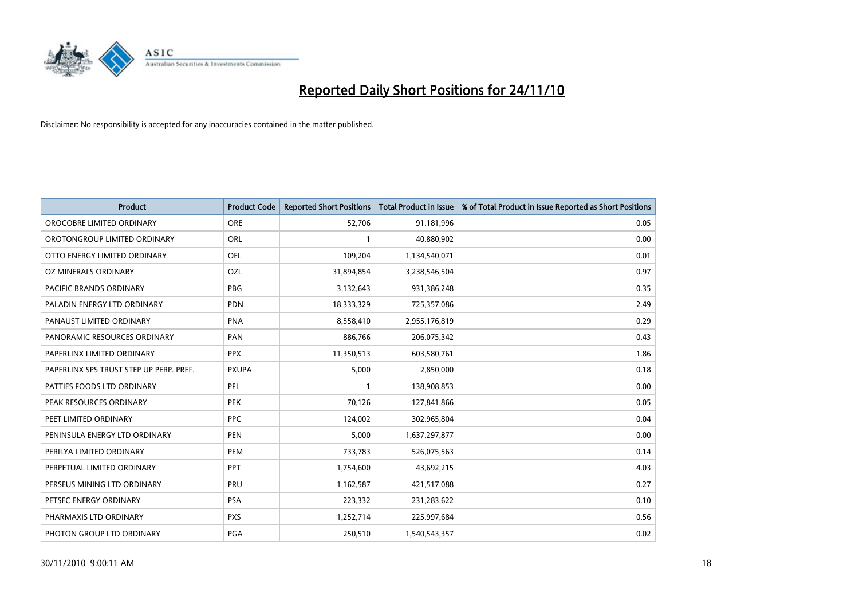

| Product                                 | <b>Product Code</b> | <b>Reported Short Positions</b> | <b>Total Product in Issue</b> | % of Total Product in Issue Reported as Short Positions |
|-----------------------------------------|---------------------|---------------------------------|-------------------------------|---------------------------------------------------------|
| OROCOBRE LIMITED ORDINARY               | <b>ORE</b>          | 52,706                          | 91,181,996                    | 0.05                                                    |
| OROTONGROUP LIMITED ORDINARY            | ORL                 |                                 | 40,880,902                    | 0.00                                                    |
| OTTO ENERGY LIMITED ORDINARY            | <b>OEL</b>          | 109,204                         | 1,134,540,071                 | 0.01                                                    |
| OZ MINERALS ORDINARY                    | OZL                 | 31,894,854                      | 3,238,546,504                 | 0.97                                                    |
| <b>PACIFIC BRANDS ORDINARY</b>          | <b>PBG</b>          | 3,132,643                       | 931,386,248                   | 0.35                                                    |
| PALADIN ENERGY LTD ORDINARY             | <b>PDN</b>          | 18,333,329                      | 725,357,086                   | 2.49                                                    |
| PANAUST LIMITED ORDINARY                | <b>PNA</b>          | 8,558,410                       | 2,955,176,819                 | 0.29                                                    |
| PANORAMIC RESOURCES ORDINARY            | PAN                 | 886,766                         | 206,075,342                   | 0.43                                                    |
| PAPERLINX LIMITED ORDINARY              | <b>PPX</b>          | 11,350,513                      | 603,580,761                   | 1.86                                                    |
| PAPERLINX SPS TRUST STEP UP PERP. PREF. | <b>PXUPA</b>        | 5,000                           | 2,850,000                     | 0.18                                                    |
| PATTIES FOODS LTD ORDINARY              | PFL                 |                                 | 138,908,853                   | 0.00                                                    |
| PEAK RESOURCES ORDINARY                 | PEK                 | 70,126                          | 127,841,866                   | 0.05                                                    |
| PEET LIMITED ORDINARY                   | <b>PPC</b>          | 124,002                         | 302,965,804                   | 0.04                                                    |
| PENINSULA ENERGY LTD ORDINARY           | <b>PEN</b>          | 5,000                           | 1,637,297,877                 | 0.00                                                    |
| PERILYA LIMITED ORDINARY                | PEM                 | 733,783                         | 526,075,563                   | 0.14                                                    |
| PERPETUAL LIMITED ORDINARY              | <b>PPT</b>          | 1,754,600                       | 43,692,215                    | 4.03                                                    |
| PERSEUS MINING LTD ORDINARY             | PRU                 | 1,162,587                       | 421,517,088                   | 0.27                                                    |
| PETSEC ENERGY ORDINARY                  | <b>PSA</b>          | 223,332                         | 231,283,622                   | 0.10                                                    |
| PHARMAXIS LTD ORDINARY                  | <b>PXS</b>          | 1,252,714                       | 225,997,684                   | 0.56                                                    |
| PHOTON GROUP LTD ORDINARY               | PGA                 | 250,510                         | 1,540,543,357                 | 0.02                                                    |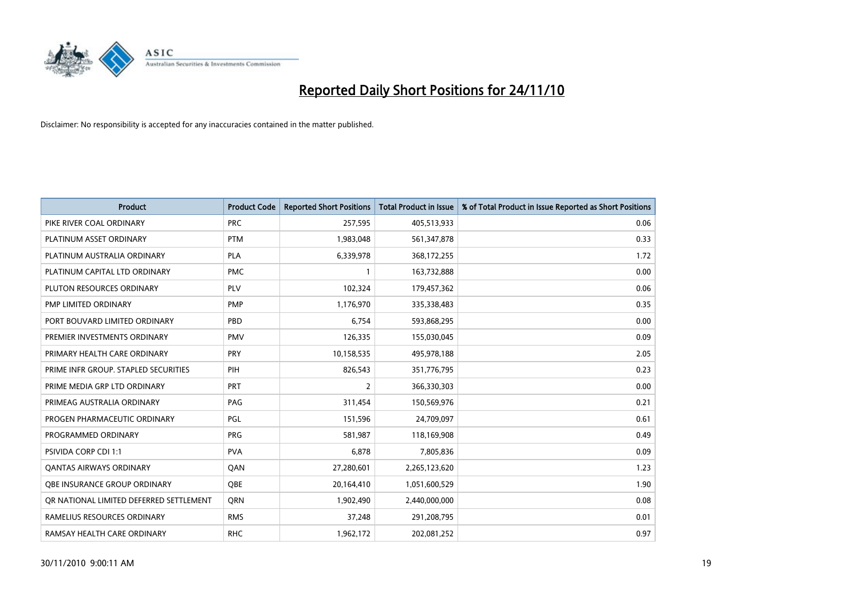

| Product                                 | <b>Product Code</b> | <b>Reported Short Positions</b> | Total Product in Issue | % of Total Product in Issue Reported as Short Positions |
|-----------------------------------------|---------------------|---------------------------------|------------------------|---------------------------------------------------------|
| PIKE RIVER COAL ORDINARY                | <b>PRC</b>          | 257,595                         | 405,513,933            | 0.06                                                    |
| PLATINUM ASSET ORDINARY                 | <b>PTM</b>          | 1,983,048                       | 561,347,878            | 0.33                                                    |
| PLATINUM AUSTRALIA ORDINARY             | <b>PLA</b>          | 6,339,978                       | 368,172,255            | 1.72                                                    |
| PLATINUM CAPITAL LTD ORDINARY           | <b>PMC</b>          |                                 | 163,732,888            | 0.00                                                    |
| PLUTON RESOURCES ORDINARY               | <b>PLV</b>          | 102,324                         | 179,457,362            | 0.06                                                    |
| PMP LIMITED ORDINARY                    | <b>PMP</b>          | 1,176,970                       | 335,338,483            | 0.35                                                    |
| PORT BOUVARD LIMITED ORDINARY           | PBD                 | 6,754                           | 593,868,295            | 0.00                                                    |
| PREMIER INVESTMENTS ORDINARY            | <b>PMV</b>          | 126,335                         | 155,030,045            | 0.09                                                    |
| PRIMARY HEALTH CARE ORDINARY            | PRY                 | 10,158,535                      | 495,978,188            | 2.05                                                    |
| PRIME INFR GROUP. STAPLED SECURITIES    | PIH                 | 826,543                         | 351,776,795            | 0.23                                                    |
| PRIME MEDIA GRP LTD ORDINARY            | <b>PRT</b>          | 2                               | 366,330,303            | 0.00                                                    |
| PRIMEAG AUSTRALIA ORDINARY              | PAG                 | 311,454                         | 150,569,976            | 0.21                                                    |
| PROGEN PHARMACEUTIC ORDINARY            | PGL                 | 151,596                         | 24,709,097             | 0.61                                                    |
| PROGRAMMED ORDINARY                     | <b>PRG</b>          | 581,987                         | 118,169,908            | 0.49                                                    |
| PSIVIDA CORP CDI 1:1                    | <b>PVA</b>          | 6,878                           | 7,805,836              | 0.09                                                    |
| <b>QANTAS AIRWAYS ORDINARY</b>          | QAN                 | 27,280,601                      | 2,265,123,620          | 1.23                                                    |
| OBE INSURANCE GROUP ORDINARY            | <b>QBE</b>          | 20,164,410                      | 1,051,600,529          | 1.90                                                    |
| OR NATIONAL LIMITED DEFERRED SETTLEMENT | <b>ORN</b>          | 1,902,490                       | 2,440,000,000          | 0.08                                                    |
| RAMELIUS RESOURCES ORDINARY             | <b>RMS</b>          | 37,248                          | 291,208,795            | 0.01                                                    |
| RAMSAY HEALTH CARE ORDINARY             | <b>RHC</b>          | 1,962,172                       | 202,081,252            | 0.97                                                    |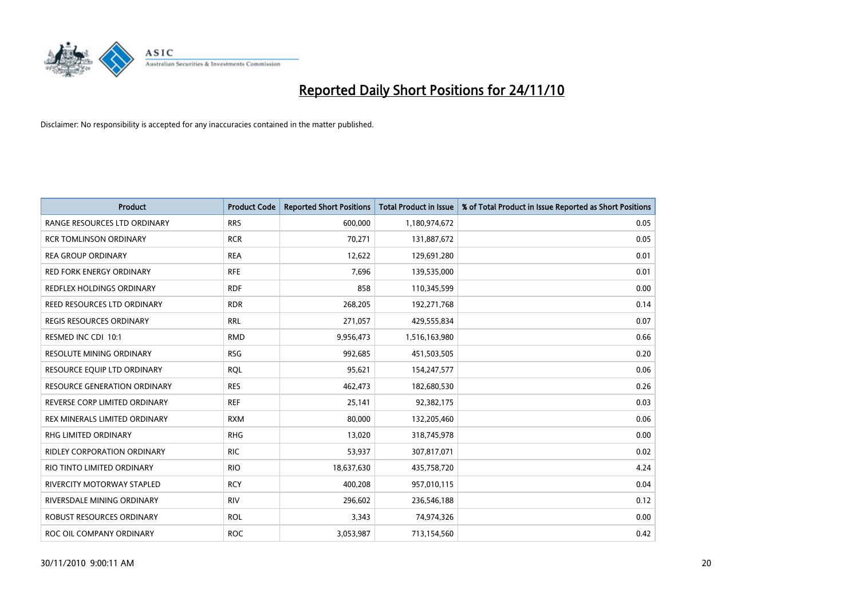

| <b>Product</b>                      | <b>Product Code</b> | <b>Reported Short Positions</b> | Total Product in Issue | % of Total Product in Issue Reported as Short Positions |
|-------------------------------------|---------------------|---------------------------------|------------------------|---------------------------------------------------------|
| RANGE RESOURCES LTD ORDINARY        | <b>RRS</b>          | 600,000                         | 1,180,974,672          | 0.05                                                    |
| <b>RCR TOMLINSON ORDINARY</b>       | <b>RCR</b>          | 70,271                          | 131,887,672            | 0.05                                                    |
| <b>REA GROUP ORDINARY</b>           | <b>REA</b>          | 12,622                          | 129,691,280            | 0.01                                                    |
| RED FORK ENERGY ORDINARY            | <b>RFE</b>          | 7,696                           | 139,535,000            | 0.01                                                    |
| REDFLEX HOLDINGS ORDINARY           | <b>RDF</b>          | 858                             | 110,345,599            | 0.00                                                    |
| REED RESOURCES LTD ORDINARY         | <b>RDR</b>          | 268,205                         | 192,271,768            | 0.14                                                    |
| <b>REGIS RESOURCES ORDINARY</b>     | <b>RRL</b>          | 271,057                         | 429,555,834            | 0.07                                                    |
| RESMED INC CDI 10:1                 | <b>RMD</b>          | 9,956,473                       | 1,516,163,980          | 0.66                                                    |
| RESOLUTE MINING ORDINARY            | <b>RSG</b>          | 992,685                         | 451,503,505            | 0.20                                                    |
| RESOURCE EOUIP LTD ORDINARY         | <b>ROL</b>          | 95,621                          | 154,247,577            | 0.06                                                    |
| <b>RESOURCE GENERATION ORDINARY</b> | <b>RES</b>          | 462,473                         | 182,680,530            | 0.26                                                    |
| REVERSE CORP LIMITED ORDINARY       | <b>REF</b>          | 25,141                          | 92,382,175             | 0.03                                                    |
| REX MINERALS LIMITED ORDINARY       | <b>RXM</b>          | 80,000                          | 132,205,460            | 0.06                                                    |
| <b>RHG LIMITED ORDINARY</b>         | <b>RHG</b>          | 13,020                          | 318,745,978            | 0.00                                                    |
| RIDLEY CORPORATION ORDINARY         | <b>RIC</b>          | 53,937                          | 307,817,071            | 0.02                                                    |
| RIO TINTO LIMITED ORDINARY          | <b>RIO</b>          | 18,637,630                      | 435,758,720            | 4.24                                                    |
| <b>RIVERCITY MOTORWAY STAPLED</b>   | <b>RCY</b>          | 400,208                         | 957,010,115            | 0.04                                                    |
| RIVERSDALE MINING ORDINARY          | <b>RIV</b>          | 296,602                         | 236,546,188            | 0.12                                                    |
| ROBUST RESOURCES ORDINARY           | <b>ROL</b>          | 3,343                           | 74,974,326             | 0.00                                                    |
| ROC OIL COMPANY ORDINARY            | <b>ROC</b>          | 3,053,987                       | 713,154,560            | 0.42                                                    |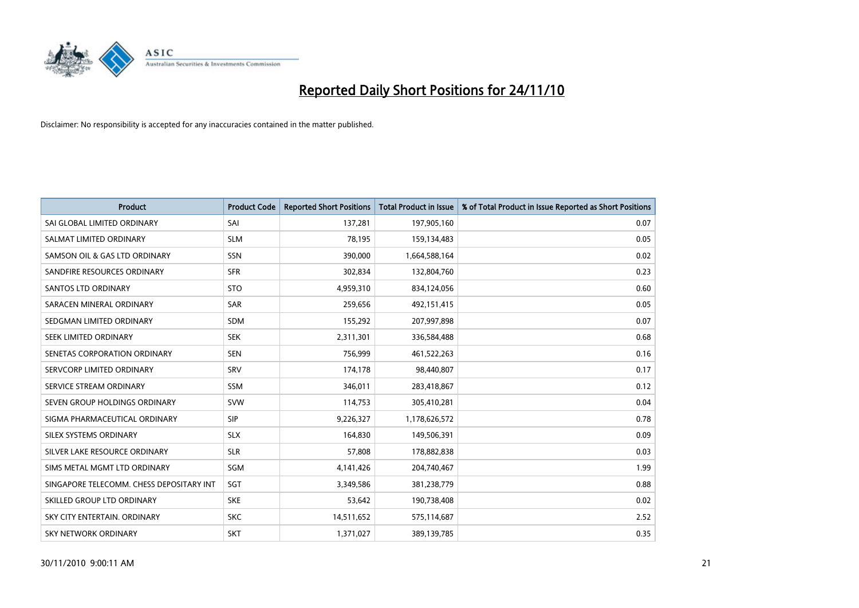

| <b>Product</b>                           | <b>Product Code</b> | <b>Reported Short Positions</b> | Total Product in Issue | % of Total Product in Issue Reported as Short Positions |
|------------------------------------------|---------------------|---------------------------------|------------------------|---------------------------------------------------------|
| SAI GLOBAL LIMITED ORDINARY              | SAI                 | 137,281                         | 197,905,160            | 0.07                                                    |
| SALMAT LIMITED ORDINARY                  | <b>SLM</b>          | 78,195                          | 159,134,483            | 0.05                                                    |
| SAMSON OIL & GAS LTD ORDINARY            | <b>SSN</b>          | 390,000                         | 1,664,588,164          | 0.02                                                    |
| SANDFIRE RESOURCES ORDINARY              | <b>SFR</b>          | 302,834                         | 132,804,760            | 0.23                                                    |
| <b>SANTOS LTD ORDINARY</b>               | <b>STO</b>          | 4,959,310                       | 834,124,056            | 0.60                                                    |
| SARACEN MINERAL ORDINARY                 | SAR                 | 259,656                         | 492,151,415            | 0.05                                                    |
| SEDGMAN LIMITED ORDINARY                 | <b>SDM</b>          | 155,292                         | 207,997,898            | 0.07                                                    |
| SEEK LIMITED ORDINARY                    | <b>SEK</b>          | 2,311,301                       | 336,584,488            | 0.68                                                    |
| SENETAS CORPORATION ORDINARY             | <b>SEN</b>          | 756,999                         | 461,522,263            | 0.16                                                    |
| SERVCORP LIMITED ORDINARY                | SRV                 | 174,178                         | 98,440,807             | 0.17                                                    |
| SERVICE STREAM ORDINARY                  | <b>SSM</b>          | 346,011                         | 283,418,867            | 0.12                                                    |
| SEVEN GROUP HOLDINGS ORDINARY            | <b>SVW</b>          | 114,753                         | 305,410,281            | 0.04                                                    |
| SIGMA PHARMACEUTICAL ORDINARY            | <b>SIP</b>          | 9,226,327                       | 1,178,626,572          | 0.78                                                    |
| SILEX SYSTEMS ORDINARY                   | <b>SLX</b>          | 164,830                         | 149,506,391            | 0.09                                                    |
| SILVER LAKE RESOURCE ORDINARY            | <b>SLR</b>          | 57,808                          | 178,882,838            | 0.03                                                    |
| SIMS METAL MGMT LTD ORDINARY             | <b>SGM</b>          | 4,141,426                       | 204,740,467            | 1.99                                                    |
| SINGAPORE TELECOMM. CHESS DEPOSITARY INT | SGT                 | 3,349,586                       | 381,238,779            | 0.88                                                    |
| SKILLED GROUP LTD ORDINARY               | <b>SKE</b>          | 53,642                          | 190,738,408            | 0.02                                                    |
| SKY CITY ENTERTAIN, ORDINARY             | <b>SKC</b>          | 14,511,652                      | 575,114,687            | 2.52                                                    |
| SKY NETWORK ORDINARY                     | <b>SKT</b>          | 1,371,027                       | 389,139,785            | 0.35                                                    |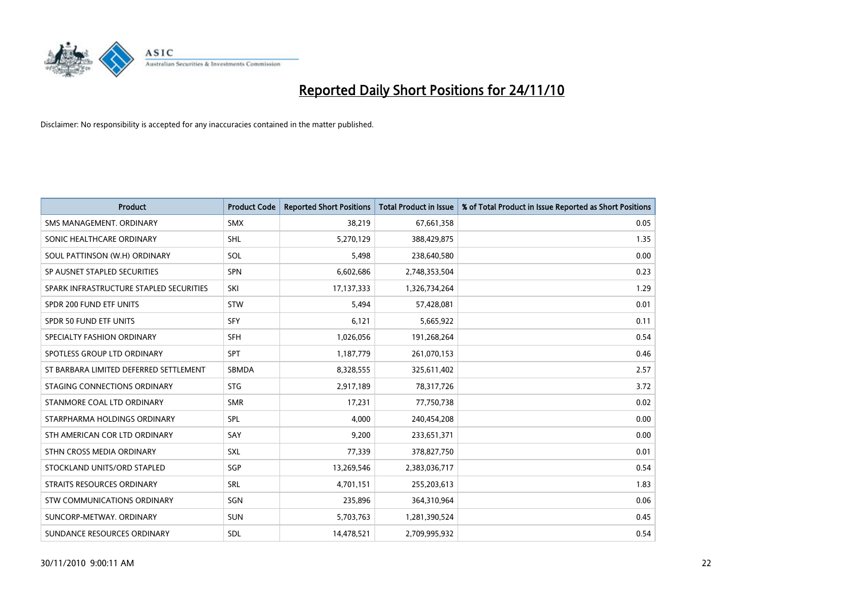

| <b>Product</b>                          | <b>Product Code</b> | <b>Reported Short Positions</b> | Total Product in Issue | % of Total Product in Issue Reported as Short Positions |
|-----------------------------------------|---------------------|---------------------------------|------------------------|---------------------------------------------------------|
| SMS MANAGEMENT, ORDINARY                | <b>SMX</b>          | 38,219                          | 67,661,358             | 0.05                                                    |
| SONIC HEALTHCARE ORDINARY               | <b>SHL</b>          | 5,270,129                       | 388,429,875            | 1.35                                                    |
| SOUL PATTINSON (W.H) ORDINARY           | SOL                 | 5,498                           | 238,640,580            | 0.00                                                    |
| SP AUSNET STAPLED SECURITIES            | <b>SPN</b>          | 6,602,686                       | 2,748,353,504          | 0.23                                                    |
| SPARK INFRASTRUCTURE STAPLED SECURITIES | SKI                 | 17,137,333                      | 1,326,734,264          | 1.29                                                    |
| SPDR 200 FUND ETF UNITS                 | <b>STW</b>          | 5,494                           | 57,428,081             | 0.01                                                    |
| <b>SPDR 50 FUND ETF UNITS</b>           | <b>SFY</b>          | 6,121                           | 5,665,922              | 0.11                                                    |
| SPECIALTY FASHION ORDINARY              | <b>SFH</b>          | 1,026,056                       | 191,268,264            | 0.54                                                    |
| SPOTLESS GROUP LTD ORDINARY             | <b>SPT</b>          | 1,187,779                       | 261,070,153            | 0.46                                                    |
| ST BARBARA LIMITED DEFERRED SETTLEMENT  | SBMDA               | 8,328,555                       | 325,611,402            | 2.57                                                    |
| STAGING CONNECTIONS ORDINARY            | <b>STG</b>          | 2,917,189                       | 78,317,726             | 3.72                                                    |
| STANMORE COAL LTD ORDINARY              | <b>SMR</b>          | 17,231                          | 77,750,738             | 0.02                                                    |
| STARPHARMA HOLDINGS ORDINARY            | SPL                 | 4.000                           | 240,454,208            | 0.00                                                    |
| STH AMERICAN COR LTD ORDINARY           | SAY                 | 9,200                           | 233,651,371            | 0.00                                                    |
| STHN CROSS MEDIA ORDINARY               | SXL                 | 77,339                          | 378,827,750            | 0.01                                                    |
| STOCKLAND UNITS/ORD STAPLED             | SGP                 | 13,269,546                      | 2,383,036,717          | 0.54                                                    |
| STRAITS RESOURCES ORDINARY              | <b>SRL</b>          | 4,701,151                       | 255,203,613            | 1.83                                                    |
| STW COMMUNICATIONS ORDINARY             | SGN                 | 235,896                         | 364,310,964            | 0.06                                                    |
| SUNCORP-METWAY, ORDINARY                | <b>SUN</b>          | 5,703,763                       | 1,281,390,524          | 0.45                                                    |
| SUNDANCE RESOURCES ORDINARY             | <b>SDL</b>          | 14.478.521                      | 2,709,995,932          | 0.54                                                    |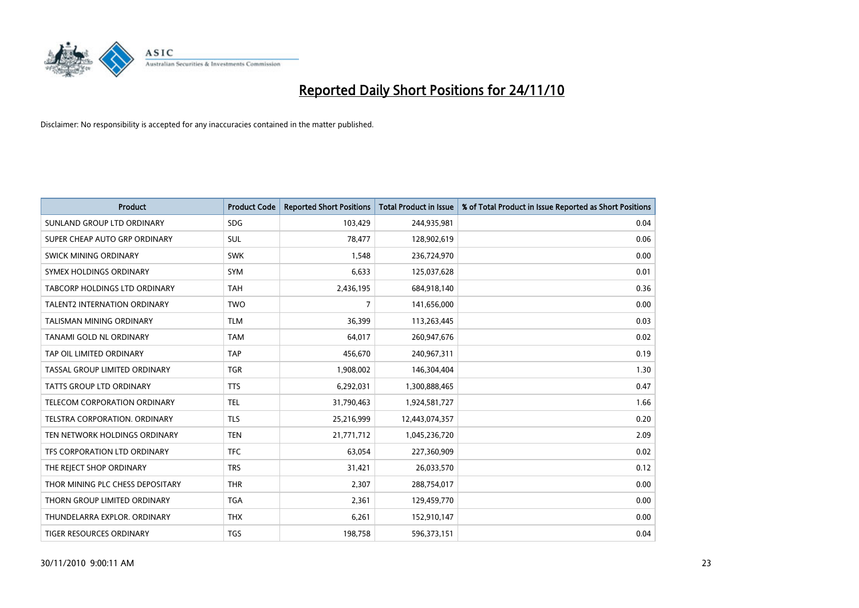

| Product                              | <b>Product Code</b> | <b>Reported Short Positions</b> | Total Product in Issue | % of Total Product in Issue Reported as Short Positions |
|--------------------------------------|---------------------|---------------------------------|------------------------|---------------------------------------------------------|
| SUNLAND GROUP LTD ORDINARY           | <b>SDG</b>          | 103,429                         | 244,935,981            | 0.04                                                    |
| SUPER CHEAP AUTO GRP ORDINARY        | <b>SUL</b>          | 78,477                          | 128,902,619            | 0.06                                                    |
| <b>SWICK MINING ORDINARY</b>         | <b>SWK</b>          | 1,548                           | 236,724,970            | 0.00                                                    |
| SYMEX HOLDINGS ORDINARY              | <b>SYM</b>          | 6,633                           | 125,037,628            | 0.01                                                    |
| <b>TABCORP HOLDINGS LTD ORDINARY</b> | <b>TAH</b>          | 2,436,195                       | 684,918,140            | 0.36                                                    |
| <b>TALENT2 INTERNATION ORDINARY</b>  | <b>TWO</b>          | 7                               | 141,656,000            | 0.00                                                    |
| TALISMAN MINING ORDINARY             | <b>TLM</b>          | 36,399                          | 113,263,445            | 0.03                                                    |
| TANAMI GOLD NL ORDINARY              | <b>TAM</b>          | 64,017                          | 260,947,676            | 0.02                                                    |
| TAP OIL LIMITED ORDINARY             | <b>TAP</b>          | 456,670                         | 240,967,311            | 0.19                                                    |
| TASSAL GROUP LIMITED ORDINARY        | <b>TGR</b>          | 1,908,002                       | 146,304,404            | 1.30                                                    |
| <b>TATTS GROUP LTD ORDINARY</b>      | <b>TTS</b>          | 6,292,031                       | 1,300,888,465          | 0.47                                                    |
| TELECOM CORPORATION ORDINARY         | <b>TEL</b>          | 31,790,463                      | 1,924,581,727          | 1.66                                                    |
| <b>TELSTRA CORPORATION, ORDINARY</b> | <b>TLS</b>          | 25,216,999                      | 12,443,074,357         | 0.20                                                    |
| TEN NETWORK HOLDINGS ORDINARY        | <b>TEN</b>          | 21,771,712                      | 1,045,236,720          | 2.09                                                    |
| TFS CORPORATION LTD ORDINARY         | <b>TFC</b>          | 63,054                          | 227,360,909            | 0.02                                                    |
| THE REJECT SHOP ORDINARY             | <b>TRS</b>          | 31,421                          | 26,033,570             | 0.12                                                    |
| THOR MINING PLC CHESS DEPOSITARY     | <b>THR</b>          | 2,307                           | 288,754,017            | 0.00                                                    |
| THORN GROUP LIMITED ORDINARY         | <b>TGA</b>          | 2,361                           | 129,459,770            | 0.00                                                    |
| THUNDELARRA EXPLOR, ORDINARY         | <b>THX</b>          | 6,261                           | 152,910,147            | 0.00                                                    |
| TIGER RESOURCES ORDINARY             | <b>TGS</b>          | 198,758                         | 596,373,151            | 0.04                                                    |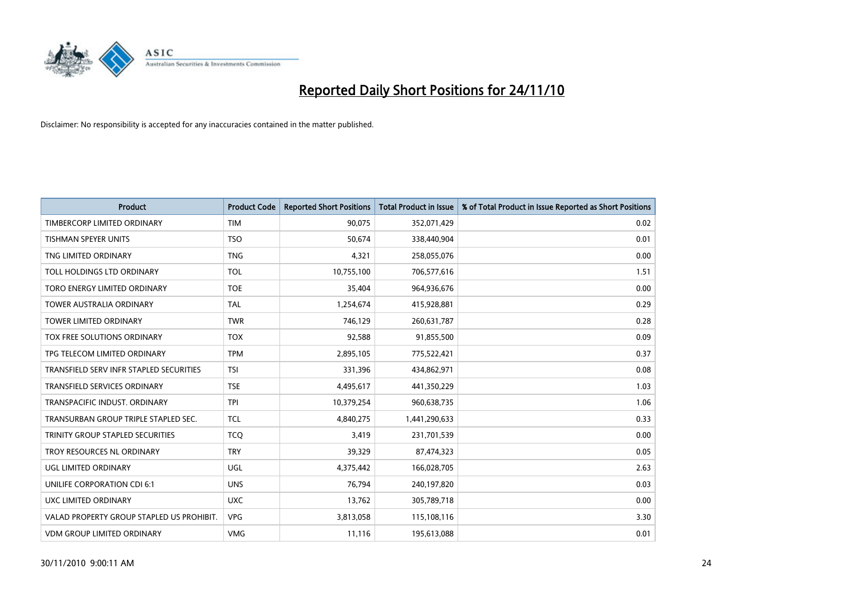

| <b>Product</b>                            | <b>Product Code</b> | <b>Reported Short Positions</b> | <b>Total Product in Issue</b> | % of Total Product in Issue Reported as Short Positions |
|-------------------------------------------|---------------------|---------------------------------|-------------------------------|---------------------------------------------------------|
| TIMBERCORP LIMITED ORDINARY               | <b>TIM</b>          | 90,075                          | 352,071,429                   | 0.02                                                    |
| TISHMAN SPEYER UNITS                      | <b>TSO</b>          | 50,674                          | 338,440,904                   | 0.01                                                    |
| TNG LIMITED ORDINARY                      | <b>TNG</b>          | 4,321                           | 258,055,076                   | 0.00                                                    |
| TOLL HOLDINGS LTD ORDINARY                | <b>TOL</b>          | 10,755,100                      | 706,577,616                   | 1.51                                                    |
| TORO ENERGY LIMITED ORDINARY              | <b>TOE</b>          | 35,404                          | 964,936,676                   | 0.00                                                    |
| <b>TOWER AUSTRALIA ORDINARY</b>           | <b>TAL</b>          | 1,254,674                       | 415,928,881                   | 0.29                                                    |
| <b>TOWER LIMITED ORDINARY</b>             | <b>TWR</b>          | 746,129                         | 260,631,787                   | 0.28                                                    |
| TOX FREE SOLUTIONS ORDINARY               | <b>TOX</b>          | 92,588                          | 91,855,500                    | 0.09                                                    |
| TPG TELECOM LIMITED ORDINARY              | <b>TPM</b>          | 2,895,105                       | 775,522,421                   | 0.37                                                    |
| TRANSFIELD SERV INFR STAPLED SECURITIES   | <b>TSI</b>          | 331,396                         | 434,862,971                   | 0.08                                                    |
| TRANSFIELD SERVICES ORDINARY              | <b>TSE</b>          | 4,495,617                       | 441,350,229                   | 1.03                                                    |
| TRANSPACIFIC INDUST, ORDINARY             | <b>TPI</b>          | 10,379,254                      | 960,638,735                   | 1.06                                                    |
| TRANSURBAN GROUP TRIPLE STAPLED SEC.      | <b>TCL</b>          | 4,840,275                       | 1,441,290,633                 | 0.33                                                    |
| TRINITY GROUP STAPLED SECURITIES          | <b>TCQ</b>          | 3,419                           | 231,701,539                   | 0.00                                                    |
| TROY RESOURCES NL ORDINARY                | <b>TRY</b>          | 39,329                          | 87,474,323                    | 0.05                                                    |
| UGL LIMITED ORDINARY                      | UGL                 | 4,375,442                       | 166,028,705                   | 2.63                                                    |
| UNILIFE CORPORATION CDI 6:1               | <b>UNS</b>          | 76,794                          | 240,197,820                   | 0.03                                                    |
| <b>UXC LIMITED ORDINARY</b>               | <b>UXC</b>          | 13,762                          | 305,789,718                   | 0.00                                                    |
| VALAD PROPERTY GROUP STAPLED US PROHIBIT. | <b>VPG</b>          | 3,813,058                       | 115,108,116                   | 3.30                                                    |
| <b>VDM GROUP LIMITED ORDINARY</b>         | <b>VMG</b>          | 11,116                          | 195,613,088                   | 0.01                                                    |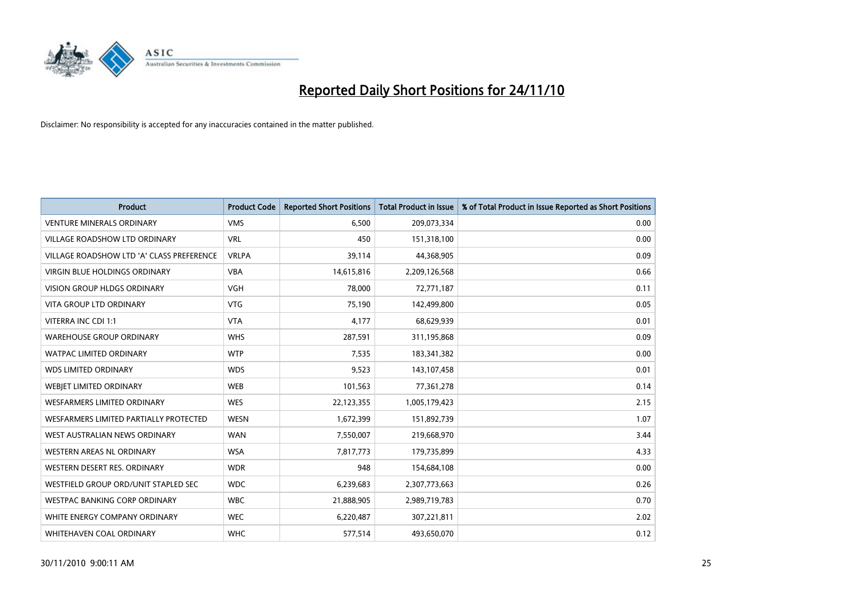

| Product                                   | <b>Product Code</b> | <b>Reported Short Positions</b> | <b>Total Product in Issue</b> | % of Total Product in Issue Reported as Short Positions |
|-------------------------------------------|---------------------|---------------------------------|-------------------------------|---------------------------------------------------------|
| <b>VENTURE MINERALS ORDINARY</b>          | <b>VMS</b>          | 6,500                           | 209,073,334                   | 0.00                                                    |
| VILLAGE ROADSHOW LTD ORDINARY             | <b>VRL</b>          | 450                             | 151,318,100                   | 0.00                                                    |
| VILLAGE ROADSHOW LTD 'A' CLASS PREFERENCE | <b>VRLPA</b>        | 39,114                          | 44,368,905                    | 0.09                                                    |
| VIRGIN BLUE HOLDINGS ORDINARY             | <b>VBA</b>          | 14,615,816                      | 2,209,126,568                 | 0.66                                                    |
| <b>VISION GROUP HLDGS ORDINARY</b>        | <b>VGH</b>          | 78,000                          | 72,771,187                    | 0.11                                                    |
| <b>VITA GROUP LTD ORDINARY</b>            | <b>VTG</b>          | 75,190                          | 142,499,800                   | 0.05                                                    |
| VITERRA INC CDI 1:1                       | <b>VTA</b>          | 4,177                           | 68,629,939                    | 0.01                                                    |
| <b>WAREHOUSE GROUP ORDINARY</b>           | <b>WHS</b>          | 287,591                         | 311,195,868                   | 0.09                                                    |
| WATPAC LIMITED ORDINARY                   | <b>WTP</b>          | 7,535                           | 183,341,382                   | 0.00                                                    |
| <b>WDS LIMITED ORDINARY</b>               | <b>WDS</b>          | 9,523                           | 143,107,458                   | 0.01                                                    |
| WEBJET LIMITED ORDINARY                   | <b>WEB</b>          | 101,563                         | 77,361,278                    | 0.14                                                    |
| <b>WESFARMERS LIMITED ORDINARY</b>        | <b>WES</b>          | 22,123,355                      | 1,005,179,423                 | 2.15                                                    |
| WESFARMERS LIMITED PARTIALLY PROTECTED    | <b>WESN</b>         | 1,672,399                       | 151,892,739                   | 1.07                                                    |
| WEST AUSTRALIAN NEWS ORDINARY             | <b>WAN</b>          | 7,550,007                       | 219,668,970                   | 3.44                                                    |
| WESTERN AREAS NL ORDINARY                 | <b>WSA</b>          | 7,817,773                       | 179,735,899                   | 4.33                                                    |
| WESTERN DESERT RES. ORDINARY              | <b>WDR</b>          | 948                             | 154,684,108                   | 0.00                                                    |
| WESTFIELD GROUP ORD/UNIT STAPLED SEC      | <b>WDC</b>          | 6,239,683                       | 2,307,773,663                 | 0.26                                                    |
| WESTPAC BANKING CORP ORDINARY             | <b>WBC</b>          | 21,888,905                      | 2,989,719,783                 | 0.70                                                    |
| WHITE ENERGY COMPANY ORDINARY             | <b>WEC</b>          | 6,220,487                       | 307,221,811                   | 2.02                                                    |
| WHITEHAVEN COAL ORDINARY                  | <b>WHC</b>          | 577,514                         | 493,650,070                   | 0.12                                                    |